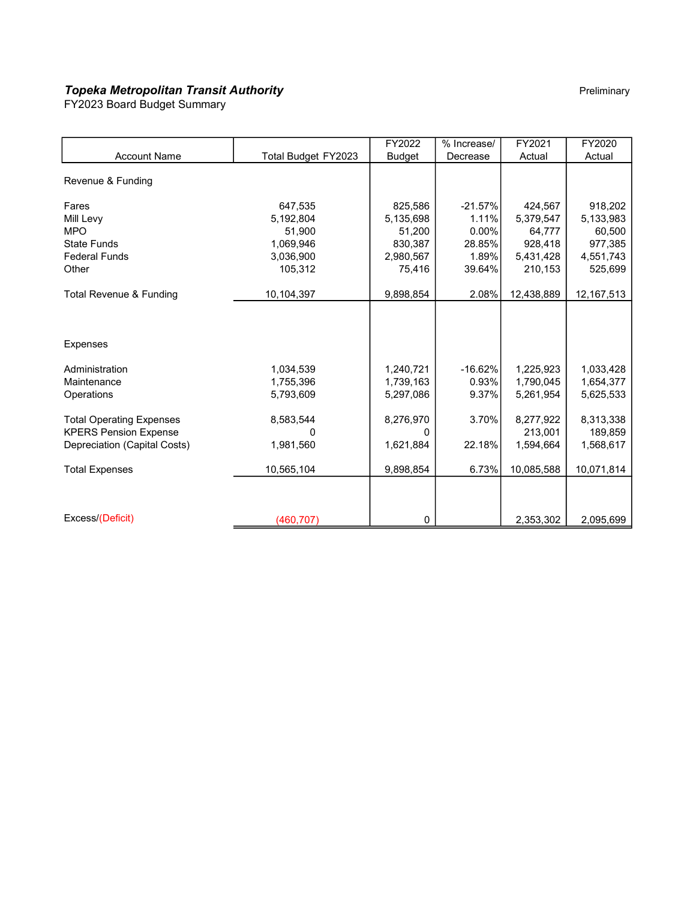# **Topeka Metropolitan Transit Authority** Pressure Pressure Preliminary Preliminary

FY2023 Board Budget Summary

|                                 |                     | FY2022        | % Increase/ | FY2021     | FY2020       |
|---------------------------------|---------------------|---------------|-------------|------------|--------------|
| <b>Account Name</b>             | Total Budget FY2023 | <b>Budget</b> | Decrease    | Actual     | Actual       |
| Revenue & Funding               |                     |               |             |            |              |
| Fares                           | 647,535             | 825,586       | $-21.57%$   | 424,567    | 918,202      |
| Mill Levy                       | 5,192,804           | 5,135,698     | 1.11%       | 5,379,547  | 5,133,983    |
| <b>MPO</b>                      | 51,900              | 51,200        | $0.00\%$    | 64,777     | 60,500       |
| <b>State Funds</b>              | 1,069,946           | 830,387       | 28.85%      | 928,418    | 977,385      |
| <b>Federal Funds</b>            | 3,036,900           | 2,980,567     | 1.89%       | 5,431,428  | 4,551,743    |
| Other                           | 105,312             | 75,416        | 39.64%      | 210,153    | 525,699      |
| Total Revenue & Funding         | 10,104,397          | 9,898,854     | 2.08%       | 12,438,889 | 12, 167, 513 |
| <b>Expenses</b>                 |                     |               |             |            |              |
|                                 |                     |               |             |            |              |
| Administration                  | 1,034,539           | 1,240,721     | $-16.62%$   | 1,225,923  | 1,033,428    |
| Maintenance                     | 1,755,396           | 1,739,163     | 0.93%       | 1,790,045  | 1,654,377    |
| Operations                      | 5,793,609           | 5,297,086     | 9.37%       | 5,261,954  | 5,625,533    |
| <b>Total Operating Expenses</b> | 8,583,544           | 8,276,970     | 3.70%       | 8,277,922  | 8,313,338    |
| <b>KPERS Pension Expense</b>    | n                   | 0             |             | 213,001    | 189,859      |
| Depreciation (Capital Costs)    | 1,981,560           | 1,621,884     | 22.18%      | 1.594.664  | 1,568,617    |
| <b>Total Expenses</b>           | 10,565,104          | 9,898,854     | 6.73%       | 10,085,588 | 10,071,814   |
|                                 |                     |               |             |            |              |
| Excess/(Deficit)                | (460, 707)          | $\mathbf 0$   |             | 2,353,302  | 2,095,699    |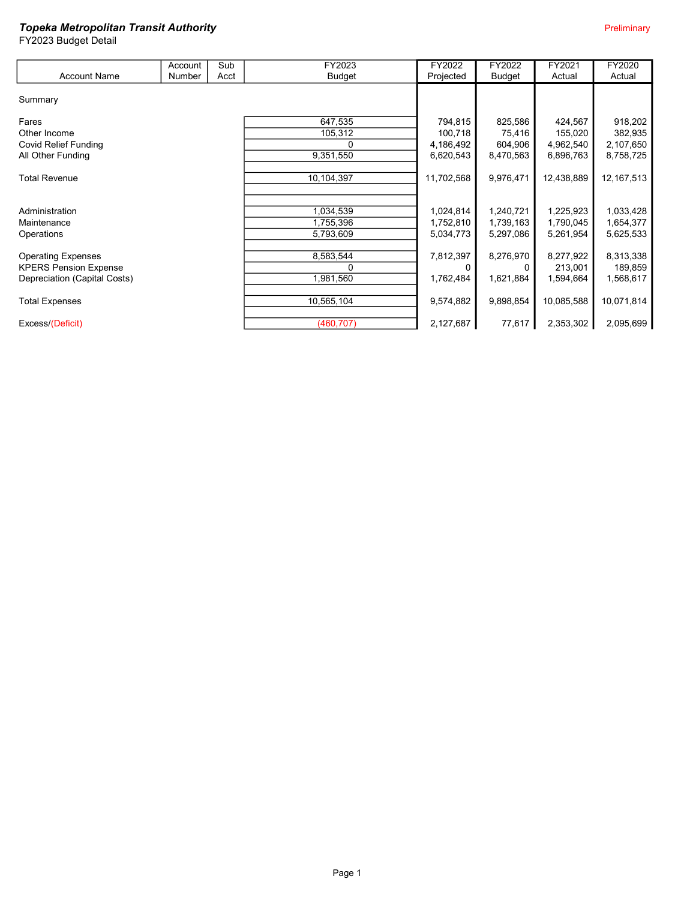|                              | Account | Sub  | FY2023        | FY2022     | FY2022        | FY2021     | FY2020       |
|------------------------------|---------|------|---------------|------------|---------------|------------|--------------|
| <b>Account Name</b>          | Number  | Acct | <b>Budget</b> | Projected  | <b>Budget</b> | Actual     | Actual       |
|                              |         |      |               |            |               |            |              |
| Summary                      |         |      |               |            |               |            |              |
| Fares                        |         |      | 647,535       | 794,815    | 825,586       | 424,567    | 918,202      |
| Other Income                 |         |      | 105,312       | 100,718    | 75,416        | 155,020    | 382,935      |
| Covid Relief Funding         |         |      | 0             | 4,186,492  | 604,906       | 4,962,540  | 2,107,650    |
| All Other Funding            |         |      | 9,351,550     | 6,620,543  | 8,470,563     | 6,896,763  | 8,758,725    |
|                              |         |      |               |            |               |            |              |
| <b>Total Revenue</b>         |         |      | 10,104,397    | 11,702,568 | 9,976,471     | 12,438,889 | 12, 167, 513 |
|                              |         |      |               |            |               |            |              |
| Administration               |         |      | 1,034,539     | 1,024,814  | 1,240,721     | 1,225,923  | 1,033,428    |
| Maintenance                  |         |      | 1,755,396     | 1,752,810  | 1,739,163     | 1,790,045  | 1,654,377    |
| Operations                   |         |      | 5,793,609     | 5,034,773  | 5,297,086     | 5,261,954  | 5,625,533    |
|                              |         |      |               |            |               |            |              |
| <b>Operating Expenses</b>    |         |      | 8,583,544     | 7,812,397  | 8,276,970     | 8,277,922  | 8,313,338    |
| <b>KPERS Pension Expense</b> |         |      | 0             |            |               | 213,001    | 189,859      |
| Depreciation (Capital Costs) |         |      | 1,981,560     | 1,762,484  | 1,621,884     | 1,594,664  | 1,568,617    |
|                              |         |      |               |            |               |            |              |
| <b>Total Expenses</b>        |         |      | 10,565,104    | 9,574,882  | 9,898,854     | 10,085,588 | 10,071,814   |
|                              |         |      |               |            |               |            |              |
| Excess/(Deficit)             |         |      | (460, 707)    | 2,127,687  | 77,617        | 2,353,302  | 2,095,699    |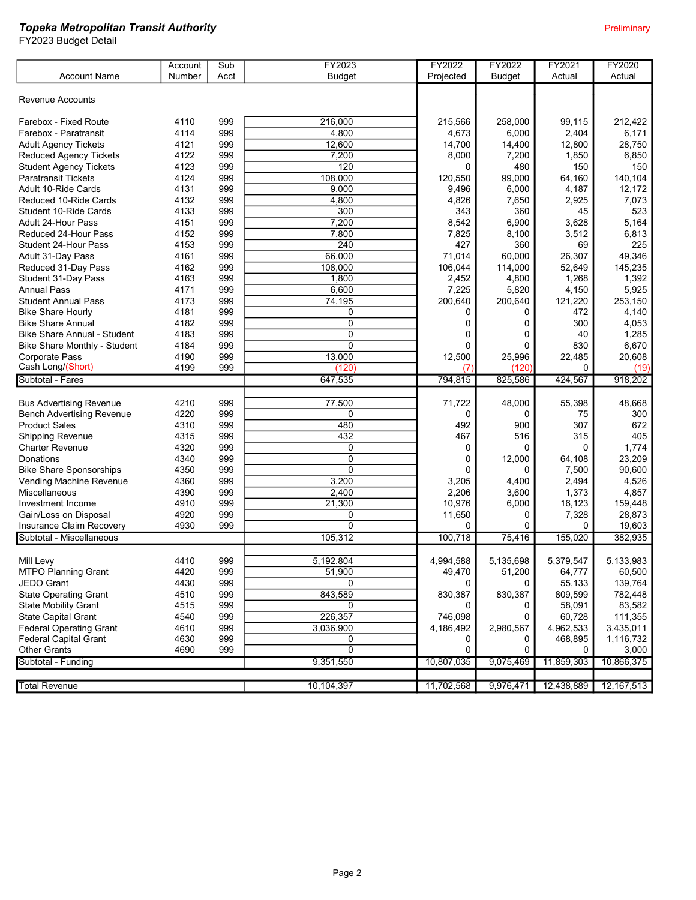|                                    | Account | Sub  | FY2023         | FY2022     | FY2022        | FY2021     | <b>FY2020</b> |
|------------------------------------|---------|------|----------------|------------|---------------|------------|---------------|
| <b>Account Name</b>                | Number  | Acct | <b>Budget</b>  | Projected  | <b>Budget</b> | Actual     | Actual        |
|                                    |         |      |                |            |               |            |               |
| <b>Revenue Accounts</b>            |         |      |                |            |               |            |               |
|                                    |         |      |                |            |               |            |               |
| Farebox - Fixed Route              | 4110    | 999  | 216,000        | 215,566    | 258,000       | 99,115     | 212,422       |
| Farebox - Paratransit              | 4114    | 999  | 4,800          | 4,673      | 6,000         | 2,404      | 6,171         |
| <b>Adult Agency Tickets</b>        | 4121    | 999  | 12,600         | 14,700     | 14,400        | 12,800     | 28,750        |
| <b>Reduced Agency Tickets</b>      | 4122    | 999  | 7,200          | 8,000      | 7,200         | 1,850      | 6,850         |
| <b>Student Agency Tickets</b>      | 4123    | 999  | 120            | $\Omega$   | 480           | 150        | 150           |
| <b>Paratransit Tickets</b>         | 4124    | 999  | 108.000        | 120,550    | 99,000        | 64,160     | 140,104       |
| Adult 10-Ride Cards                | 4131    | 999  | 9,000          | 9,496      | 6,000         | 4,187      | 12,172        |
| Reduced 10-Ride Cards              | 4132    | 999  | 4,800          | 4,826      | 7,650         | 2,925      | 7,073         |
| Student 10-Ride Cards              | 4133    | 999  | 300            | 343        | 360           | 45         | 523           |
| Adult 24-Hour Pass                 | 4151    | 999  | 7,200          | 8,542      | 6,900         | 3,628      | 5,164         |
| Reduced 24-Hour Pass               | 4152    | 999  | 7,800          | 7,825      | 8,100         | 3,512      | 6,813         |
| Student 24-Hour Pass               | 4153    | 999  | 240            | 427        | 360           | 69         | 225           |
| Adult 31-Day Pass                  | 4161    | 999  | 66,000         | 71,014     | 60,000        | 26,307     | 49,346        |
| Reduced 31-Day Pass                | 4162    | 999  | 108,000        | 106,044    | 114,000       | 52,649     | 145,235       |
| Student 31-Day Pass                | 4163    | 999  | 1,800          | 2,452      | 4,800         | 1,268      | 1,392         |
| <b>Annual Pass</b>                 | 4171    | 999  | 6,600          | 7,225      | 5,820         | 4,150      | 5,925         |
| <b>Student Annual Pass</b>         | 4173    | 999  | 74,195         | 200,640    | 200,640       | 121,220    | 253,150       |
| <b>Bike Share Hourly</b>           | 4181    | 999  | 0              | 0          | 0             | 472        | 4,140         |
| <b>Bike Share Annual</b>           | 4182    | 999  | $\mathbf 0$    | 0          | 0             | 300        | 4,053         |
| <b>Bike Share Annual - Student</b> | 4183    | 999  | $\mathbf 0$    | 0          | 0             | 40         | 1,285         |
| Bike Share Monthly - Student       | 4184    | 999  | 0              | $\Omega$   | 0             | 830        | 6,670         |
| Corporate Pass                     | 4190    | 999  | 13,000         | 12,500     | 25,996        | 22,485     | 20,608        |
| Cash Long/(Short)                  | 4199    | 999  | (120)          |            | (120)         | 0          |               |
|                                    |         |      |                | (7)        |               |            | (19)          |
|                                    |         |      |                |            |               |            |               |
| Subtotal - Fares                   |         |      | 647,535        | 794,815    | 825,586       | 424,567    | 918,202       |
|                                    |         |      |                |            |               |            |               |
| <b>Bus Advertising Revenue</b>     | 4210    | 999  | 77,500         | 71,722     | 48,000        | 55,398     | 48,668        |
| <b>Bench Advertising Revenue</b>   | 4220    | 999  | 0              | 0          | 0             | 75         | 300           |
| <b>Product Sales</b>               | 4310    | 999  | 480            | 492        | 900           | 307        | 672           |
| <b>Shipping Revenue</b>            | 4315    | 999  | 432            | 467        | 516           | 315        | 405           |
| <b>Charter Revenue</b>             | 4320    | 999  | 0              | 0          | 0             | 0          | 1,774         |
| <b>Donations</b>                   | 4340    | 999  | $\mathbf 0$    | 0          | 12,000        | 64,108     | 23,209        |
| <b>Bike Share Sponsorships</b>     | 4350    | 999  | $\Omega$       | 0          | 0             | 7,500      | 90,600        |
| Vending Machine Revenue            | 4360    | 999  | 3,200          | 3,205      | 4,400         | 2,494      | 4,526         |
| Miscellaneous                      | 4390    | 999  | 2,400          | 2,206      | 3,600         | 1,373      | 4,857         |
| Investment Income                  | 4910    | 999  | 21,300         | 10,976     | 6,000         | 16,123     | 159,448       |
| Gain/Loss on Disposal              | 4920    | 999  | 0              | 11,650     | 0             | 7,328      | 28,873        |
| Insurance Claim Recovery           | 4930    | 999  | $\overline{0}$ | 0          | 0             | 0          | 19,603        |
| Subtotal - Miscellaneous           |         |      | 105,312        | 100,718    | 75,416        | 155,020    | 382,935       |
|                                    |         |      |                |            |               |            |               |
| Mill Levy                          | 4410    | 999  | 5,192,804      | 4,994,588  | 5,135,698     | 5,379,547  | 5,133,983     |
| <b>MTPO Planning Grant</b>         | 4420    | 999  | 51,900         | 49,470     | 51,200        | 64,777     | 60,500        |
| JEDO Grant                         | 4430    | 999  | $\Omega$       | 0          | 0             | 55,133     | 139,764       |
| <b>State Operating Grant</b>       | 4510    | 999  | 843,589        | 830,387    | 830,387       | 809,599    | 782,448       |
| <b>State Mobility Grant</b>        | 4515    | 999  | 0              | 0          | 0             | 58,091     | 83,582        |
| State Capital Grant                | 4540    | 999  | 226,357        | 746,098    | 0             | 60,728     | 111,355       |
| <b>Federal Operating Grant</b>     | 4610    | 999  | 3,036,900      | 4,186,492  | 2,980,567     | 4,962,533  | 3,435,011     |
| <b>Federal Capital Grant</b>       | 4630    | 999  | 0              | 0          | 0             | 468,895    | 1,116,732     |
| <b>Other Grants</b>                | 4690    | 999  | $\mathbf 0$    | 0          | 0             | 0          | 3,000         |
| Subtotal - Funding                 |         |      | 9,351,550      | 10,807,035 | 9,075,469     | 11,859,303 | 10,866,375    |
|                                    |         |      |                |            |               |            |               |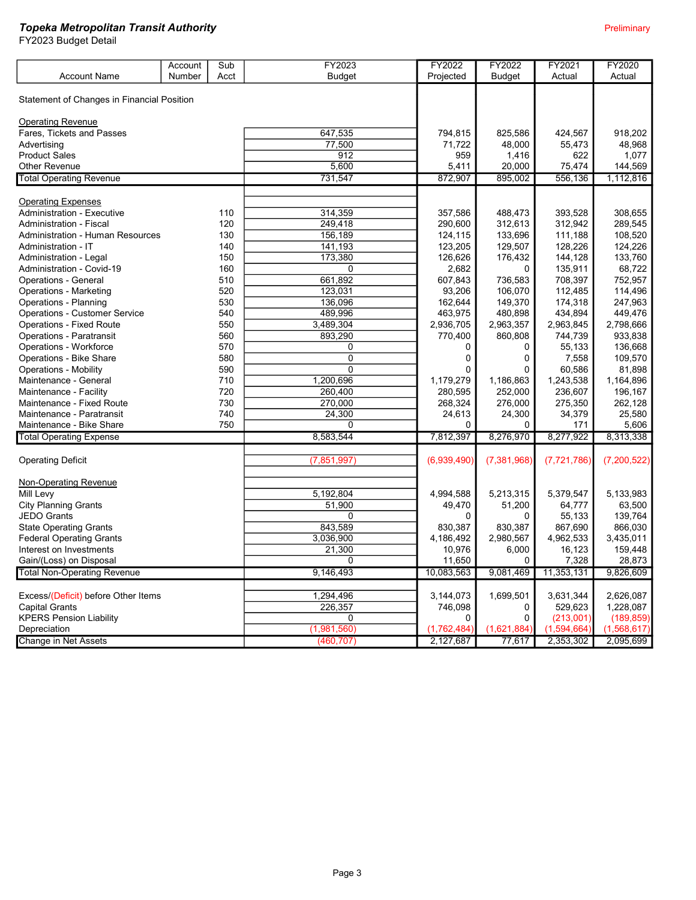|                                              | Account | Sub  | FY2023        | FY2022       | FY2022          | FY2021        | FY2020           |
|----------------------------------------------|---------|------|---------------|--------------|-----------------|---------------|------------------|
| <b>Account Name</b>                          | Number  | Acct | <b>Budget</b> | Projected    | <b>Budget</b>   | Actual        | Actual           |
|                                              |         |      |               |              |                 |               |                  |
| Statement of Changes in Financial Position   |         |      |               |              |                 |               |                  |
|                                              |         |      |               |              |                 |               |                  |
| <b>Operating Revenue</b>                     |         |      |               |              |                 |               |                  |
| Fares, Tickets and Passes                    |         |      | 647,535       | 794.815      | 825.586         | 424.567       | 918,202          |
| Advertising                                  |         |      | 77,500        | 71,722       | 48,000          | 55,473        | 48,968           |
| <b>Product Sales</b><br><b>Other Revenue</b> |         |      | 912<br>5,600  | 959<br>5,411 | 1,416<br>20,000 | 622<br>75,474 | 1,077<br>144,569 |
|                                              |         |      |               |              |                 |               |                  |
| <b>Total Operating Revenue</b>               |         |      | 731,547       | 872,907      | 895,002         | 556,136       | 1,112,816        |
| <b>Operating Expenses</b>                    |         |      |               |              |                 |               |                  |
| <b>Administration - Executive</b>            |         | 110  | 314,359       | 357,586      | 488,473         | 393,528       | 308,655          |
| <b>Administration - Fiscal</b>               |         | 120  | 249,418       | 290,600      | 312,613         | 312,942       | 289,545          |
| <b>Administration - Human Resources</b>      |         | 130  | 156,189       | 124,115      | 133,696         | 111,188       | 108,520          |
| Administration - IT                          |         | 140  | 141,193       | 123,205      | 129,507         | 128,226       | 124,226          |
| Administration - Legal                       |         | 150  | 173,380       | 126,626      | 176,432         | 144,128       | 133,760          |
| Administration - Covid-19                    |         | 160  | 0             | 2,682        | 0               | 135,911       | 68,722           |
| <b>Operations - General</b>                  |         | 510  | 661,892       | 607,843      | 736,583         | 708,397       | 752,957          |
| <b>Operations - Marketing</b>                |         | 520  | 123,031       | 93,206       | 106,070         | 112,485       | 114,496          |
| <b>Operations - Planning</b>                 |         | 530  | 136,096       | 162,644      | 149,370         | 174,318       | 247,963          |
| <b>Operations - Customer Service</b>         |         | 540  | 489,996       | 463,975      | 480,898         | 434,894       | 449,476          |
| <b>Operations - Fixed Route</b>              |         | 550  | 3,489,304     | 2,936,705    | 2,963,357       | 2,963,845     | 2,798,666        |
| <b>Operations - Paratransit</b>              |         | 560  | 893,290       | 770,400      | 860,808         | 744,739       | 933,838          |
| Operations - Workforce                       |         | 570  | 0             | 0            | 0               | 55,133        | 136,668          |
| Operations - Bike Share                      |         | 580  | $\mathbf{0}$  | $\mathbf 0$  | $\mathbf{0}$    | 7,558         | 109,570          |
| <b>Operations - Mobility</b>                 |         | 590  | $\Omega$      | $\Omega$     | $\Omega$        | 60.586        | 81,898           |
| Maintenance - General                        |         | 710  | 1,200,696     | 1,179,279    | 1,186,863       | 1,243,538     | 1,164,896        |
| Maintenance - Facility                       |         | 720  | 260,400       | 280,595      | 252,000         | 236,607       | 196,167          |
| Maintenance - Fixed Route                    |         | 730  | 270,000       | 268,324      | 276,000         | 275,350       | 262,128          |
| Maintenance - Paratransit                    |         | 740  | 24,300        | 24,613       |                 | 34,379        | 25,580           |
| Maintenance - Bike Share                     |         | 750  | 0             | 0            | 24,300<br>0     | 171           | 5,606            |
|                                              |         |      | 8,583,544     | 7,812,397    | 8,276,970       | 8,277,922     |                  |
| <b>Total Operating Expense</b>               |         |      |               |              |                 |               | 8,313,338        |
| <b>Operating Deficit</b>                     |         |      | (7, 851, 997) | (6,939,490)  | (7,381,968)     | (7, 721, 786) | (7,200,522)      |
|                                              |         |      |               |              |                 |               |                  |
| Non-Operating Revenue                        |         |      |               |              |                 |               |                  |
| Mill Levy                                    |         |      | 5,192,804     | 4,994,588    | 5,213,315       | 5,379,547     | 5,133,983        |
| <b>City Planning Grants</b>                  |         |      | 51,900        | 49,470       | 51,200          | 64,777        | 63,500           |
| <b>JEDO Grants</b>                           |         |      | 0             | $\Omega$     | 0               | 55,133        | 139,764          |
| <b>State Operating Grants</b>                |         |      | 843,589       | 830,387      | 830,387         | 867,690       | 866,030          |
| <b>Federal Operating Grants</b>              |         |      | 3,036,900     | 4,186,492    | 2,980,567       | 4,962,533     | 3,435,011        |
| Interest on Investments                      |         |      | 21,300        | 10,976       | 6,000           | 16,123        | 159,448          |
| Gain/(Loss) on Disposal                      |         |      | 0             | 11,650       | $\Omega$        | 7,328         | 28,873           |
| <b>Total Non-Operating Revenue</b>           |         |      | 9,146,493     | 10,083,563   | 9,081,469       | 11,353,131    | 9,826,609        |
|                                              |         |      |               |              |                 |               |                  |
| Excess/(Deficit) before Other Items          |         |      | 1,294,496     | 3,144,073    | 1,699,501       | 3,631,344     | 2,626,087        |
| <b>Capital Grants</b>                        |         |      | 226,357       | 746,098      | 0               | 529,623       | 1,228,087        |
| <b>KPERS Pension Liability</b>               |         |      | 0             | $\Omega$     | $\Omega$        | (213,001)     | (189, 859)       |
| Depreciation                                 |         |      | (1,981,560)   | (1,762,484)  | (1,621,884)     | (1,594,664)   | (1,568,617)      |
| Change in Net Assets                         |         |      | (460, 707)    | 2,127,687    | 77,617          | 2,353,302     | 2,095,699        |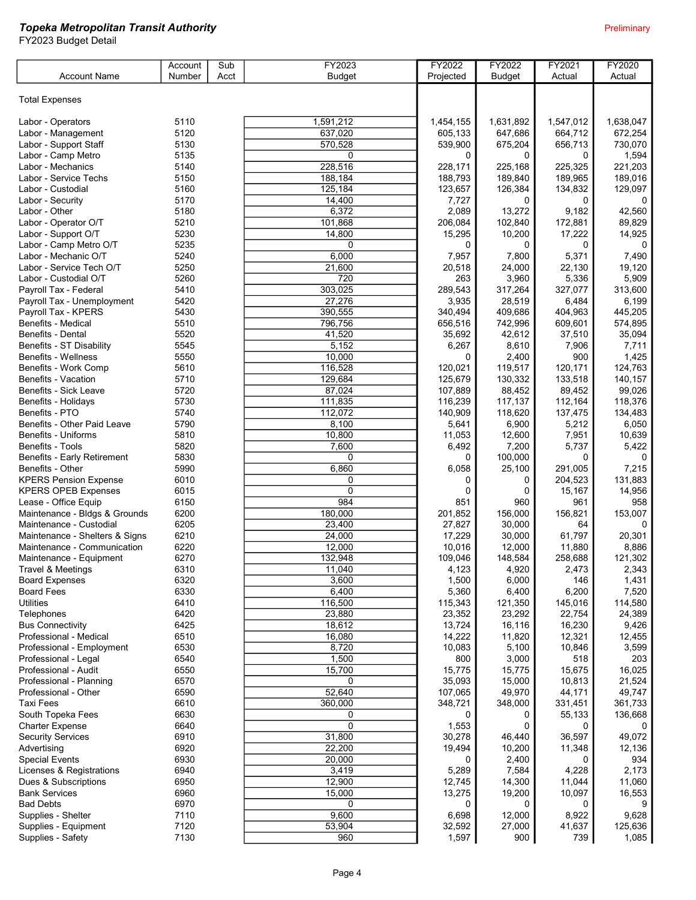|                                | Account | Sub  | FY2023        | FY2022    | FY2022        | FY2021       | <b>FY2020</b> |
|--------------------------------|---------|------|---------------|-----------|---------------|--------------|---------------|
| <b>Account Name</b>            | Number  | Acct | <b>Budget</b> | Projected | <b>Budget</b> | Actual       | Actual        |
|                                |         |      |               |           |               |              |               |
| <b>Total Expenses</b>          |         |      |               |           |               |              |               |
|                                |         |      |               |           |               |              |               |
| Labor - Operators              | 5110    |      | 1,591,212     | 1,454,155 | 1.631.892     | 1,547,012    | 1.638.047     |
| Labor - Management             | 5120    |      | 637,020       | 605,133   | 647,686       | 664,712      | 672,254       |
| Labor - Support Staff          | 5130    |      | 570,528       | 539,900   | 675,204       | 656,713      | 730,070       |
| Labor - Camp Metro             | 5135    |      | 0             | 0         | $\Omega$      | 0            | 1,594         |
| Labor - Mechanics              | 5140    |      | 228,516       | 228,171   | 225,168       | 225,325      | 221,203       |
| Labor - Service Techs          | 5150    |      | 188,184       | 188,793   | 189.840       | 189,965      | 189,016       |
| Labor - Custodial              | 5160    |      | 125,184       | 123,657   | 126,384       | 134,832      | 129,097       |
| Labor - Security               | 5170    |      | 14,400        | 7,727     | 0             | 0            | $\Omega$      |
| Labor - Other                  | 5180    |      | 6,372         | 2,089     | 13,272        | 9,182        | 42,560        |
| Labor - Operator O/T           | 5210    |      | 101,868       | 206,084   | 102,840       | 172,881      | 89,829        |
| Labor - Support O/T            | 5230    |      | 14,800        | 15,295    | 10,200        | 17,222       | 14,925        |
| Labor - Camp Metro O/T         | 5235    |      | $\Omega$      | 0         | 0             | 0            | 0             |
| Labor - Mechanic O/T           | 5240    |      | 6,000         | 7,957     | 7,800         | 5,371        | 7,490         |
| Labor - Service Tech O/T       | 5250    |      | 21,600        | 20,518    | 24,000        | 22,130       | 19,120        |
| Labor - Custodial O/T          | 5260    |      | 720           | 263       | 3,960         | 5,336        | 5,909         |
| Payroll Tax - Federal          | 5410    |      | 303,025       | 289,543   | 317,264       | 327,077      | 313,600       |
| Payroll Tax - Unemployment     | 5420    |      | 27,276        | 3,935     | 28,519        | 6,484        | 6,199         |
| Payroll Tax - KPERS            | 5430    |      | 390,555       | 340,494   | 409,686       | 404,963      | 445,205       |
| Benefits - Medical             | 5510    |      | 796,756       | 656,516   | 742,996       | 609,601      | 574,895       |
| Benefits - Dental              | 5520    |      | 41,520        | 35,692    | 42,612        | 37,510       | 35,094        |
| Benefits - ST Disability       | 5545    |      | 5,152         | 6,267     | 8,610         | 7,906        | 7,711         |
| <b>Benefits - Wellness</b>     | 5550    |      | 10,000        | 0         | 2,400         | 900          | 1,425         |
| Benefits - Work Comp           | 5610    |      | 116,528       | 120,021   | 119,517       | 120,171      | 124,763       |
| <b>Benefits - Vacation</b>     | 5710    |      | 129,684       | 125,679   | 130,332       | 133,518      | 140,157       |
| Benefits - Sick Leave          | 5720    |      | 87,024        | 107,889   | 88,452        | 89,452       | 99,026        |
| Benefits - Holidays            | 5730    |      | 111,835       | 116,239   | 117,137       | 112,164      | 118,376       |
| Benefits - PTO                 | 5740    |      | 112,072       | 140,909   | 118,620       | 137,475      | 134,483       |
| Benefits - Other Paid Leave    | 5790    |      | 8,100         | 5,641     | 6,900         | 5,212        | 6,050         |
| Benefits - Uniforms            | 5810    |      | 10,800        | 11,053    | 12,600        | 7,951        | 10,639        |
| Benefits - Tools               | 5820    |      | 7,600         | 6,492     | 7,200         | 5,737        | 5,422         |
| Benefits - Early Retirement    | 5830    |      | 0             | 0         | 100,000       | 0            | $\Omega$      |
| Benefits - Other               | 5990    |      | 6,860         | 6,058     | 25,100        | 291,005      | 7,215         |
| <b>KPERS Pension Expense</b>   | 6010    |      | 0             | 0         | 0             | 204,523      | 131,883       |
| <b>KPERS OPEB Expenses</b>     | 6015    |      | $\mathbf{0}$  | $\Omega$  | 0             | 15,167       | 14,956        |
| Lease - Office Equip           | 6150    |      | 984           | 851       | 960           | 961          | 958           |
| Maintenance - Bldgs & Grounds  | 6200    |      | 180,000       | 201,852   | 156,000       | 156,821      | 153,007       |
| Maintenance - Custodial        | 6205    |      | 23,400        | 27,827    | 30,000        | 64           | $\Omega$      |
| Maintenance - Shelters & Signs | 6210    |      | 24,000        | 17,229    | 30,000        | 61,797       | 20,301        |
| Maintenance - Communication    | 6220    |      | 12,000        | 10,016    | 12,000        | 11,880       | 8,886         |
| Maintenance - Equipment        | 6270    |      | 132,948       | 109,046   | 148,584       | 258,688      | 121,302       |
| Travel & Meetings              | 6310    |      | 11,040        | 4,123     | 4,920         | 2,473        | 2,343         |
| <b>Board Expenses</b>          | 6320    |      | 3,600         | 1,500     | 6,000         | 146          | 1,431         |
| <b>Board Fees</b>              | 6330    |      | 6,400         | 5,360     | 6,400         | 6,200        | 7,520         |
| <b>Utilities</b>               | 6410    |      | 116,500       | 115,343   | 121,350       | 145,016      | 114,580       |
| Telephones                     | 6420    |      | 23,880        | 23,352    | 23,292        | 22,754       | 24,389        |
| <b>Bus Connectivity</b>        | 6425    |      | 18,612        | 13,724    | 16,116        | 16,230       | 9,426         |
| Professional - Medical         | 6510    |      | 16,080        | 14,222    | 11,820        | 12,321       | 12,455        |
| Professional - Employment      | 6530    |      | 8,720         | 10,083    | 5,100         | 10,846       | 3,599         |
| Professional - Legal           | 6540    |      | 1,500         | 800       | 3,000         | 518          | 203           |
| Professional - Audit           | 6550    |      | 15,700        | 15,775    | 15,775        | 15,675       | 16,025        |
| Professional - Planning        | 6570    |      | 0             | 35,093    | 15,000        | 10,813       | 21,524        |
| Professional - Other           | 6590    |      | 52,640        | 107,065   | 49,970        | 44,171       | 49,747        |
| <b>Taxi Fees</b>               | 6610    |      | 360,000       | 348,721   | 348,000       | 331,451      | 361,733       |
| South Topeka Fees              | 6630    |      | 0             | 0         | 0             | 55,133       | 136,668       |
| <b>Charter Expense</b>         | 6640    |      | $\mathbf 0$   | 1,553     | 0             | 0            |               |
| <b>Security Services</b>       | 6910    |      | 31,800        | 30,278    | 46,440        | 36,597       | 49,072        |
| Advertising                    | 6920    |      | 22,200        | 19,494    | 10,200        | 11,348       | 12,136        |
| <b>Special Events</b>          | 6930    |      | 20,000        | 0         | 2,400         | 0            | 934           |
| Licenses & Registrations       | 6940    |      | 3,419         | 5,289     | 7,584         | 4,228        | 2,173         |
| Dues & Subscriptions           | 6950    |      | 12,900        | 12,745    | 14,300        | 11,044       | 11,060        |
| <b>Bank Services</b>           | 6960    |      | 15,000        | 13,275    | 19,200        | 10,097       | 16,553        |
| <b>Bad Debts</b>               | 6970    |      | 0             | 0         | $\Omega$      | $\mathbf{0}$ | 9             |
| Supplies - Shelter             | 7110    |      | 9,600         | 6,698     | 12,000        | 8,922        | 9,628         |
| Supplies - Equipment           | 7120    |      | 53,904        | 32,592    | 27,000        | 41,637       | 125,636       |
| Supplies - Safety              | 7130    |      | 960           | 1,597     | 900           | 739          | 1,085         |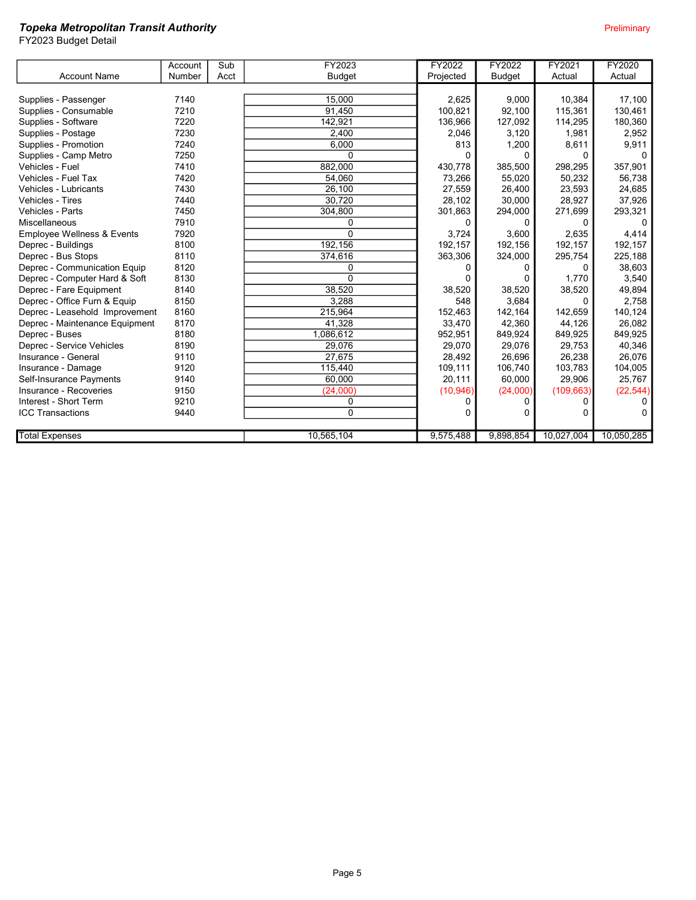|                                       | Account | Sub  | FY2023        | FY2022    | FY2022        | FY2021     | FY2020     |
|---------------------------------------|---------|------|---------------|-----------|---------------|------------|------------|
| <b>Account Name</b>                   | Number  | Acct | <b>Budget</b> | Projected | <b>Budget</b> | Actual     | Actual     |
|                                       |         |      |               |           |               |            |            |
| Supplies - Passenger                  | 7140    |      | 15,000        | 2,625     | 9,000         | 10,384     | 17,100     |
| Supplies - Consumable                 | 7210    |      | 91,450        | 100,821   | 92.100        | 115,361    | 130,461    |
| Supplies - Software                   | 7220    |      | 142.921       | 136,966   | 127,092       | 114,295    | 180,360    |
| Supplies - Postage                    | 7230    |      | 2,400         | 2,046     | 3,120         | 1.981      | 2,952      |
| Supplies - Promotion                  | 7240    |      | 6.000         | 813       | 1,200         | 8,611      | 9,911      |
| Supplies - Camp Metro                 | 7250    |      | $\Omega$      | 0         | <sup>0</sup>  | $\Omega$   |            |
| Vehicles - Fuel                       | 7410    |      | 882,000       | 430,778   | 385,500       | 298,295    | 357,901    |
| Vehicles - Fuel Tax                   | 7420    |      | 54,060        | 73,266    | 55,020        | 50,232     | 56,738     |
| Vehicles - Lubricants                 | 7430    |      | 26,100        | 27,559    | 26,400        | 23,593     | 24,685     |
| Vehicles - Tires                      | 7440    |      | 30,720        | 28,102    | 30,000        | 28,927     | 37,926     |
| Vehicles - Parts                      | 7450    |      | 304,800       | 301,863   | 294,000       | 271,699    | 293,321    |
| Miscellaneous                         | 7910    |      | 0             | 0         | 0             | $\Omega$   | 0          |
| <b>Employee Wellness &amp; Events</b> | 7920    |      | $\mathbf{0}$  | 3,724     | 3,600         | 2,635      | 4,414      |
| Deprec - Buildings                    | 8100    |      | 192,156       | 192,157   | 192,156       | 192,157    | 192,157    |
| Deprec - Bus Stops                    | 8110    |      | 374,616       | 363,306   | 324,000       | 295,754    | 225,188    |
| Deprec - Communication Equip          | 8120    |      | 0             | 0         |               | 0          | 38,603     |
| Deprec - Computer Hard & Soft         | 8130    |      | $\Omega$      | 0         |               | 1,770      | 3,540      |
| Deprec - Fare Equipment               | 8140    |      | 38,520        | 38,520    | 38,520        | 38,520     | 49,894     |
| Deprec - Office Furn & Equip          | 8150    |      | 3,288         | 548       | 3,684         | 0          | 2,758      |
| Deprec - Leasehold Improvement        | 8160    |      | 215,964       | 152,463   | 142.164       | 142.659    | 140,124    |
| Deprec - Maintenance Equipment        | 8170    |      | 41,328        | 33,470    | 42,360        | 44,126     | 26,082     |
| Deprec - Buses                        | 8180    |      | 1,086,612     | 952,951   | 849,924       | 849,925    | 849,925    |
| Deprec - Service Vehicles             | 8190    |      | 29,076        | 29,070    | 29,076        | 29,753     | 40,346     |
| Insurance - General                   | 9110    |      | 27.675        | 28,492    | 26,696        | 26,238     | 26,076     |
| Insurance - Damage                    | 9120    |      | 115,440       | 109,111   | 106.740       | 103.783    | 104,005    |
| Self-Insurance Payments               | 9140    |      | 60.000        | 20,111    | 60.000        | 29.906     | 25,767     |
| Insurance - Recoveries                | 9150    |      | (24,000)      | (10, 946) | (24,000)      | (109, 663) | (22, 544)  |
| Interest - Short Term                 | 9210    |      | $\mathbf 0$   | 0         |               | 0          |            |
| <b>ICC Transactions</b>               | 9440    |      | $\Omega$      | 0         |               | 0          |            |
|                                       |         |      |               |           |               |            |            |
| <b>Total Expenses</b>                 |         |      | 10,565,104    | 9,575,488 | 9,898,854     | 10,027,004 | 10,050,285 |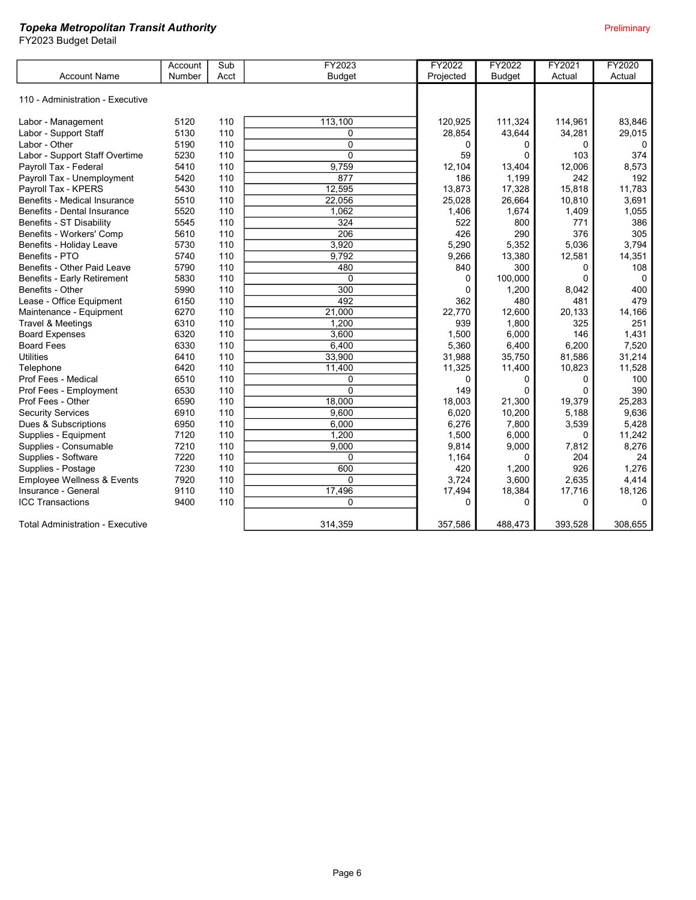|                                         | Account | Sub  | FY2023           | FY2022      | FY2022        | FY2021   | FY2020   |
|-----------------------------------------|---------|------|------------------|-------------|---------------|----------|----------|
| <b>Account Name</b>                     | Number  | Acct | <b>Budget</b>    | Projected   | <b>Budget</b> | Actual   | Actual   |
|                                         |         |      |                  |             |               |          |          |
| 110 - Administration - Executive        |         |      |                  |             |               |          |          |
|                                         |         |      |                  |             |               |          |          |
| Labor - Management                      | 5120    | 110  | 113,100          | 120,925     | 111,324       | 114,961  | 83,846   |
| Labor - Support Staff                   | 5130    | 110  | $\mathbf{0}$     | 28,854      | 43,644        | 34,281   | 29,015   |
| Labor - Other                           | 5190    | 110  | $\mathbf 0$      | 0           | 0             | $\Omega$ | $\Omega$ |
| Labor - Support Staff Overtime          | 5230    | 110  | $\mathbf 0$      | 59          | $\Omega$      | 103      | 374      |
| Payroll Tax - Federal                   | 5410    | 110  | 9,759            | 12,104      | 13,404        | 12,006   | 8,573    |
| Payroll Tax - Unemployment              | 5420    | 110  | 877              | 186         | 1,199         | 242      | 192      |
| Payroll Tax - KPERS                     | 5430    | 110  | 12,595           | 13,873      | 17,328        | 15,818   | 11,783   |
| Benefits - Medical Insurance            | 5510    | 110  | 22,056           | 25,028      | 26,664        | 10,810   | 3,691    |
| Benefits - Dental Insurance             | 5520    | 110  | 1.062            | 1,406       | 1,674         | 1,409    | 1,055    |
| Benefits - ST Disability                | 5545    | 110  | 324              | 522         | 800           | 771      | 386      |
| Benefits - Workers' Comp                | 5610    | 110  | $\overline{206}$ | 426         | 290           | 376      | 305      |
| Benefits - Holiday Leave                | 5730    | 110  | 3,920            | 5,290       | 5,352         | 5,036    | 3,794    |
| Benefits - PTO                          | 5740    | 110  | 9,792            | 9,266       | 13,380        | 12,581   | 14,351   |
| Benefits - Other Paid Leave             | 5790    | 110  | 480              | 840         | 300           | 0        | 108      |
| Benefits - Early Retirement             | 5830    | 110  | $\mathbf{0}$     | $\Omega$    | 100,000       | $\Omega$ | $\Omega$ |
| Benefits - Other                        | 5990    | 110  | 300              | $\Omega$    | 1,200         | 8,042    | 400      |
| Lease - Office Equipment                | 6150    | 110  | 492              | 362         | 480           | 481      | 479      |
| Maintenance - Equipment                 | 6270    | 110  | 21,000           | 22,770      | 12,600        | 20,133   | 14,166   |
| Travel & Meetings                       | 6310    | 110  | 1,200            | 939         | 1,800         | 325      | 251      |
| <b>Board Expenses</b>                   | 6320    | 110  | 3,600            | 1,500       | 6,000         | 146      | 1,431    |
| <b>Board Fees</b>                       | 6330    | 110  | 6,400            | 5,360       | 6,400         | 6,200    | 7,520    |
| <b>Utilities</b>                        | 6410    | 110  | 33,900           | 31,988      | 35,750        | 81,586   | 31,214   |
| Telephone                               | 6420    | 110  | 11,400           | 11,325      | 11,400        | 10,823   | 11,528   |
| Prof Fees - Medical                     | 6510    | 110  | $\mathbf 0$      | $\mathbf 0$ | 0             | 0        | 100      |
| Prof Fees - Employment                  | 6530    | 110  | $\overline{0}$   | 149         | $\Omega$      | $\Omega$ | 390      |
| Prof Fees - Other                       | 6590    | 110  | 18,000           | 18,003      | 21,300        | 19,379   | 25.283   |
| <b>Security Services</b>                | 6910    | 110  | 9.600            | 6,020       | 10,200        | 5,188    | 9,636    |
| Dues & Subscriptions                    | 6950    | 110  | 6,000            | 6,276       | 7,800         | 3,539    | 5,428    |
| Supplies - Equipment                    | 7120    | 110  | 1,200            | 1,500       | 6,000         | $\Omega$ | 11,242   |
| Supplies - Consumable                   | 7210    | 110  | 9,000            | 9.814       | 9,000         | 7,812    | 8,276    |
| Supplies - Software                     | 7220    | 110  | $\Omega$         | 1,164       | 0             | 204      | 24       |
| Supplies - Postage                      | 7230    | 110  | 600              | 420         | 1,200         | 926      | 1,276    |
| Employee Wellness & Events              | 7920    | 110  | $\Omega$         | 3,724       | 3,600         | 2,635    | 4,414    |
| Insurance - General                     | 9110    | 110  | 17,496           | 17,494      | 18,384        | 17,716   | 18,126   |
| <b>ICC Transactions</b>                 | 9400    | 110  | $\Omega$         | 0           | $\Omega$      | $\Omega$ | $\Omega$ |
|                                         |         |      |                  |             |               |          |          |
| <b>Total Administration - Executive</b> |         |      | 314.359          | 357.586     | 488.473       | 393,528  | 308,655  |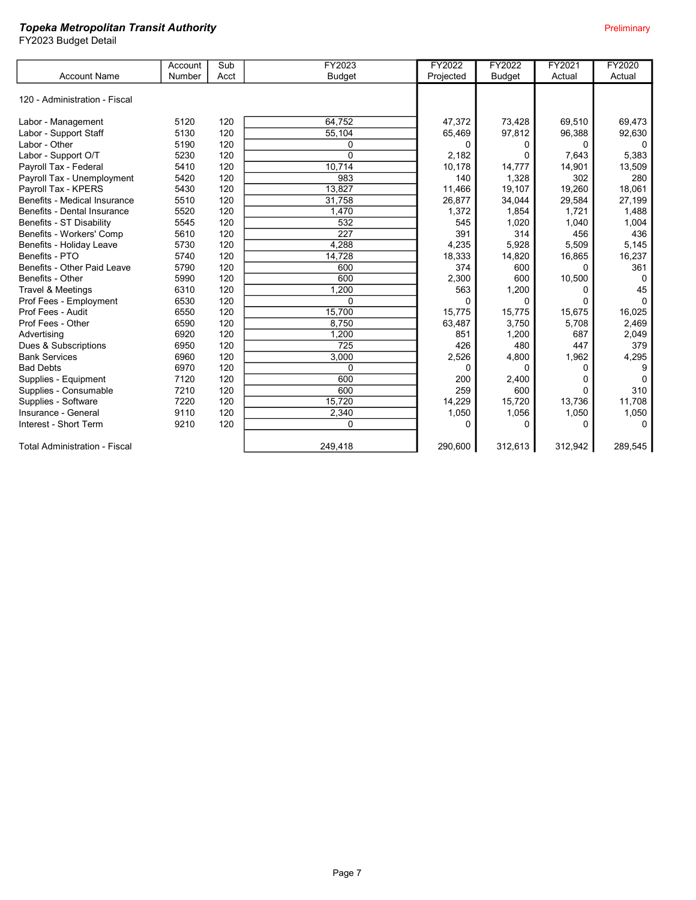|                               | Account | Sub  | FY2023        | FY2022    | FY2022        | FY2021  | FY2020       |
|-------------------------------|---------|------|---------------|-----------|---------------|---------|--------------|
| <b>Account Name</b>           | Number  | Acct | <b>Budget</b> | Projected | <b>Budget</b> | Actual  | Actual       |
| 120 - Administration - Fiscal |         |      |               |           |               |         |              |
| Labor - Management            | 5120    | 120  | 64.752        | 47,372    | 73,428        | 69,510  | 69,473       |
| Labor - Support Staff         | 5130    | 120  | 55,104        | 65,469    | 97,812        | 96,388  | 92,630       |
| Labor - Other                 | 5190    | 120  | 0             | 0         | 0             | 0       | $\Omega$     |
| Labor - Support O/T           | 5230    | 120  | $\Omega$      | 2.182     | $\Omega$      | 7,643   | 5,383        |
| Payroll Tax - Federal         | 5410    | 120  | 10,714        | 10,178    | 14,777        | 14,901  | 13,509       |
| Payroll Tax - Unemployment    | 5420    | 120  | 983           | 140       | 1,328         | 302     | 280          |
| Payroll Tax - KPERS           | 5430    | 120  | 13,827        | 11,466    | 19,107        | 19,260  | 18,061       |
| Benefits - Medical Insurance  | 5510    | 120  | 31,758        | 26,877    | 34,044        | 29,584  | 27,199       |
| Benefits - Dental Insurance   | 5520    | 120  | 1,470         | 1,372     | 1,854         | 1,721   | 1,488        |
| Benefits - ST Disability      | 5545    | 120  | 532           | 545       | 1,020         | 1.040   | 1,004        |
| Benefits - Workers' Comp      | 5610    | 120  | 227           | 391       | 314           | 456     | 436          |
| Benefits - Holiday Leave      | 5730    | 120  | 4,288         | 4,235     | 5,928         | 5,509   | 5,145        |
| Benefits - PTO                | 5740    | 120  | 14.728        | 18,333    | 14,820        | 16,865  | 16,237       |
| Benefits - Other Paid Leave   | 5790    | 120  | 600           | 374       | 600           | O       | 361          |
| Benefits - Other              | 5990    | 120  | 600           | 2,300     | 600           | 10,500  | 0            |
| Travel & Meetings             | 6310    | 120  | 1,200         | 563       | 1,200         | 0       | 45           |
| Prof Fees - Employment        | 6530    | 120  | $\Omega$      | $\Omega$  | $\Omega$      | 0       | $\Omega$     |
| Prof Fees - Audit             | 6550    | 120  | 15,700        | 15,775    | 15,775        | 15,675  | 16,025       |
| Prof Fees - Other             | 6590    | 120  | 8.750         | 63,487    | 3,750         | 5,708   | 2,469        |
| Advertising                   | 6920    | 120  | 1,200         | 851       | 1,200         | 687     | 2,049        |
| Dues & Subscriptions          | 6950    | 120  | 725           | 426       | 480           | 447     | 379          |
| <b>Bank Services</b>          | 6960    | 120  | 3,000         | 2,526     | 4,800         | 1,962   | 4,295        |
| <b>Bad Debts</b>              | 6970    | 120  | $\Omega$      | 0         | 0             | 0       | 9            |
| Supplies - Equipment          | 7120    | 120  | 600           | 200       | 2,400         | 0       | $\mathbf{0}$ |
| Supplies - Consumable         | 7210    | 120  | 600           | 259       | 600           | 0       | 310          |
| Supplies - Software           | 7220    | 120  | 15.720        | 14,229    | 15.720        | 13.736  | 11.708       |
| Insurance - General           | 9110    | 120  | 2,340         | 1,050     | 1,056         | 1,050   | 1,050        |
| Interest - Short Term         | 9210    | 120  | 0             | $\Omega$  | 0             | O       | $\Omega$     |
| Total Administration - Fiscal |         |      | 249,418       | 290,600   | 312,613       | 312,942 | 289,545      |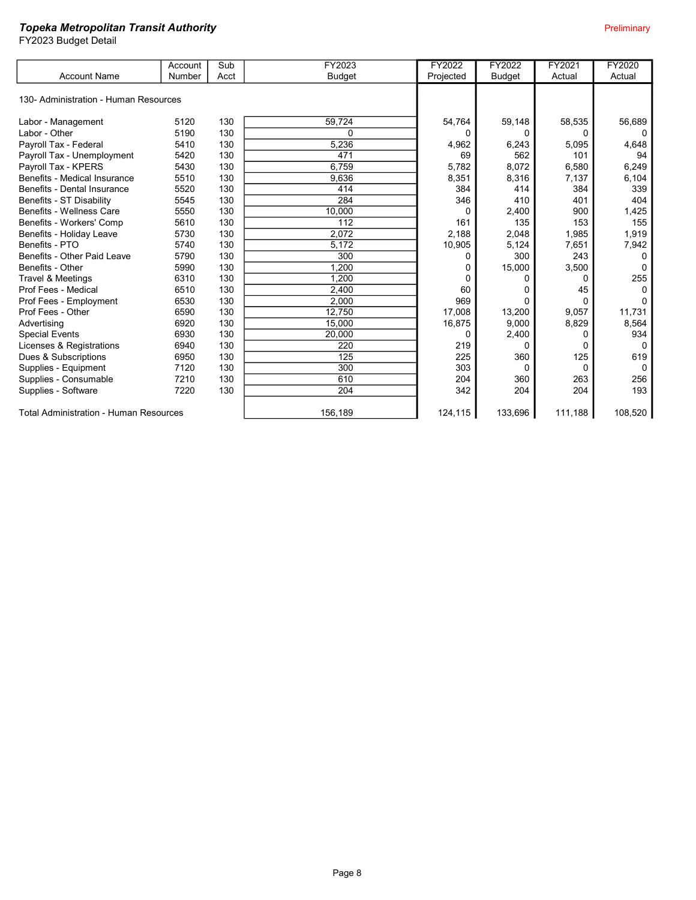FY2023 Budget Detail

|                                               | Account | Sub  | FY2023        | FY2022    | FY2022        | FY2021   | FY2020   |
|-----------------------------------------------|---------|------|---------------|-----------|---------------|----------|----------|
| <b>Account Name</b>                           | Number  | Acct | <b>Budget</b> | Projected | <b>Budget</b> | Actual   | Actual   |
|                                               |         |      |               |           |               |          |          |
| 130- Administration - Human Resources         |         |      |               |           |               |          |          |
|                                               |         |      |               |           |               |          |          |
| Labor - Management                            | 5120    | 130  | 59,724        | 54,764    | 59,148        | 58,535   | 56,689   |
| Labor - Other                                 | 5190    | 130  | $\Omega$      | 0         |               | 0        |          |
| Payroll Tax - Federal                         | 5410    | 130  | 5,236         | 4,962     | 6,243         | 5,095    | 4,648    |
| Payroll Tax - Unemployment                    | 5420    | 130  | 471           | 69        | 562           | 101      | 94       |
| Payroll Tax - KPERS                           | 5430    | 130  | 6,759         | 5,782     | 8,072         | 6,580    | 6,249    |
| Benefits - Medical Insurance                  | 5510    | 130  | 9,636         | 8,351     | 8,316         | 7,137    | 6,104    |
| Benefits - Dental Insurance                   | 5520    | 130  | 414           | 384       | 414           | 384      | 339      |
| Benefits - ST Disability                      | 5545    | 130  | 284           | 346       | 410           | 401      | 404      |
| Benefits - Wellness Care                      | 5550    | 130  | 10,000        | $\Omega$  | 2,400         | 900      | 1,425    |
| Benefits - Workers' Comp                      | 5610    | 130  | 112           | 161       | 135           | 153      | 155      |
| Benefits - Holiday Leave                      | 5730    | 130  | 2,072         | 2,188     | 2,048         | 1,985    | 1,919    |
| Benefits - PTO                                | 5740    | 130  | 5,172         | 10,905    | 5,124         | 7,651    | 7,942    |
| Benefits - Other Paid Leave                   | 5790    | 130  | 300           | 0         | 300           | 243      | O        |
| Benefits - Other                              | 5990    | 130  | 1.200         |           | 15,000        | 3,500    | $\Omega$ |
| <b>Travel &amp; Meetings</b>                  | 6310    | 130  | 1.200         | 0         | 0             | 0        | 255      |
| Prof Fees - Medical                           | 6510    | 130  | 2,400         | 60        | 0             | 45       |          |
| Prof Fees - Employment                        | 6530    | 130  | 2.000         | 969       | $\Omega$      | 0        |          |
| Prof Fees - Other                             | 6590    | 130  | 12,750        | 17,008    | 13,200        | 9.057    | 11,731   |
| Advertising                                   | 6920    | 130  | 15,000        | 16,875    | 9.000         | 8,829    | 8,564    |
| <b>Special Events</b>                         | 6930    | 130  | 20,000        | 0         | 2,400         | $\Omega$ | 934      |
| Licenses & Registrations                      | 6940    | 130  | 220           | 219       | $\Omega$      | 0        | $\Omega$ |
| Dues & Subscriptions                          | 6950    | 130  | 125           | 225       | 360           | 125      | 619      |
| Supplies - Equipment                          | 7120    | 130  | 300           | 303       | 0             | 0        | $\Omega$ |
| Supplies - Consumable                         | 7210    | 130  | 610           | 204       | 360           | 263      | 256      |
| Supplies - Software                           | 7220    | 130  | 204           | 342       | 204           | 204      | 193      |
| <b>Total Administration - Human Resources</b> |         |      | 156,189       | 124,115   | 133,696       | 111,188  | 108,520  |

Page 8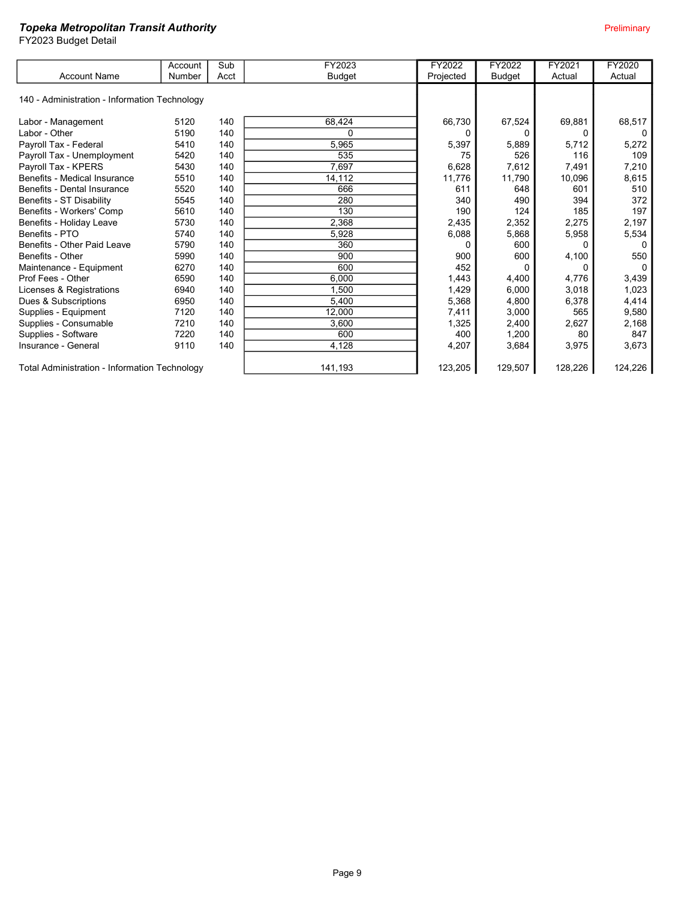FY2023 Budget Detail

|                                                      | Account | Sub  | FY2023        | FY2022    | FY2022        | FY2021  | <b>FY2020</b> |
|------------------------------------------------------|---------|------|---------------|-----------|---------------|---------|---------------|
| <b>Account Name</b>                                  | Number  | Acct | <b>Budget</b> | Projected | <b>Budget</b> | Actual  | Actual        |
|                                                      |         |      |               |           |               |         |               |
| 140 - Administration - Information Technology        |         |      |               |           |               |         |               |
|                                                      |         |      |               |           |               |         |               |
| Labor - Management                                   | 5120    | 140  | 68,424        | 66,730    | 67,524        | 69,881  | 68,517        |
| Labor - Other                                        | 5190    | 140  | $\Omega$      |           | 0             | 0       |               |
| Payroll Tax - Federal                                | 5410    | 140  | 5,965         | 5,397     | 5,889         | 5,712   | 5,272         |
| Payroll Tax - Unemployment                           | 5420    | 140  | 535           | 75        | 526           | 116     | 109           |
| Payroll Tax - KPERS                                  | 5430    | 140  | 7,697         | 6,628     | 7,612         | 7,491   | 7,210         |
| Benefits - Medical Insurance                         | 5510    | 140  | 14,112        | 11,776    | 11,790        | 10,096  | 8,615         |
| Benefits - Dental Insurance                          | 5520    | 140  | 666           | 611       | 648           | 601     | 510           |
| Benefits - ST Disability                             | 5545    | 140  | 280           | 340       | 490           | 394     | 372           |
| Benefits - Workers' Comp                             | 5610    | 140  | 130           | 190       | 124           | 185     | 197           |
| Benefits - Holiday Leave                             | 5730    | 140  | 2,368         | 2,435     | 2,352         | 2,275   | 2,197         |
| Benefits - PTO                                       | 5740    | 140  | 5,928         | 6,088     | 5,868         | 5,958   | 5,534         |
| Benefits - Other Paid Leave                          | 5790    | 140  | 360           |           | 600           | 0       | 0             |
| Benefits - Other                                     | 5990    | 140  | 900           | 900       | 600           | 4,100   | 550           |
| Maintenance - Equipment                              | 6270    | 140  | 600           | 452       |               | 0       |               |
| Prof Fees - Other                                    | 6590    | 140  | 6,000         | 1,443     | 4,400         | 4,776   | 3,439         |
| Licenses & Registrations                             | 6940    | 140  | 1.500         | 1,429     | 6,000         | 3,018   | 1,023         |
| Dues & Subscriptions                                 | 6950    | 140  | 5,400         | 5,368     | 4,800         | 6,378   | 4,414         |
| Supplies - Equipment                                 | 7120    | 140  | 12,000        | 7,411     | 3,000         | 565     | 9,580         |
| Supplies - Consumable                                | 7210    | 140  | 3,600         | 1,325     | 2,400         | 2,627   | 2,168         |
| Supplies - Software                                  | 7220    | 140  | 600           | 400       | 1,200         | 80      | 847           |
| Insurance - General                                  | 9110    | 140  | 4,128         | 4,207     | 3,684         | 3,975   | 3,673         |
|                                                      |         |      |               |           |               |         |               |
| <b>Total Administration - Information Technology</b> |         |      | 141,193       | 123,205   | 129,507       | 128,226 | 124,226       |

Page 9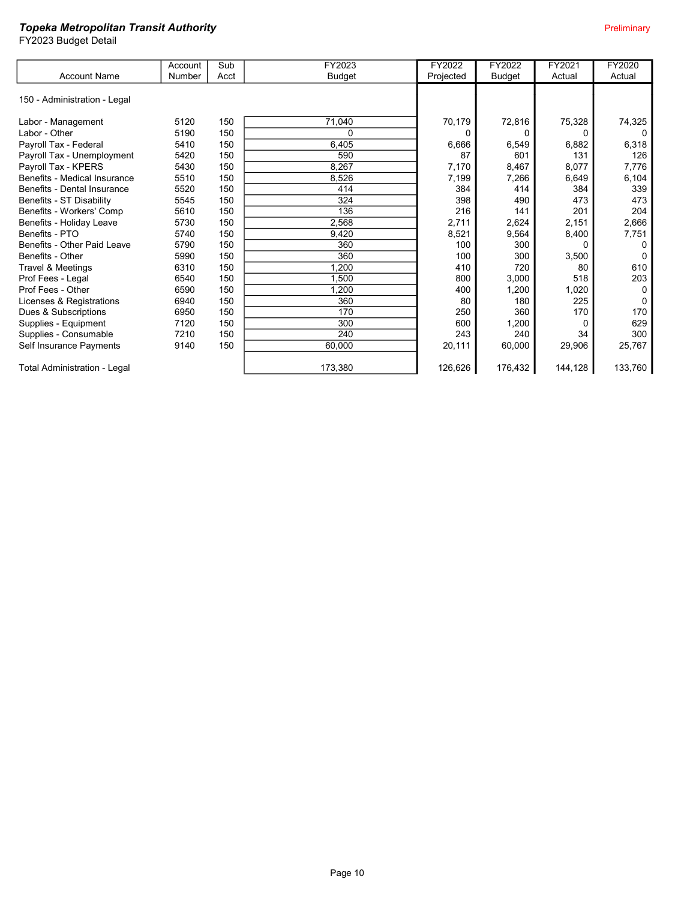|                              | Account | Sub  | FY2023        | FY2022    | FY2022        | FY2021   | FY2020   |
|------------------------------|---------|------|---------------|-----------|---------------|----------|----------|
| <b>Account Name</b>          | Number  | Acct | <b>Budget</b> | Projected | <b>Budget</b> | Actual   | Actual   |
| 150 - Administration - Legal |         |      |               |           |               |          |          |
| Labor - Management           | 5120    | 150  | 71,040        | 70,179    | 72,816        | 75,328   | 74,325   |
| Labor - Other                | 5190    | 150  | 0             |           |               | 0        |          |
| Payroll Tax - Federal        | 5410    | 150  | 6,405         | 6,666     | 6,549         | 6,882    | 6,318    |
| Payroll Tax - Unemployment   | 5420    | 150  | 590           | 87        | 601           | 131      | 126      |
| Payroll Tax - KPERS          | 5430    | 150  | 8,267         | 7,170     | 8,467         | 8,077    | 7,776    |
| Benefits - Medical Insurance | 5510    | 150  | 8,526         | 7,199     | 7,266         | 6,649    | 6,104    |
| Benefits - Dental Insurance  | 5520    | 150  | 414           | 384       | 414           | 384      | 339      |
| Benefits - ST Disability     | 5545    | 150  | 324           | 398       | 490           | 473      | 473      |
| Benefits - Workers' Comp     | 5610    | 150  | 136           | 216       | 141           | 201      | 204      |
| Benefits - Holiday Leave     | 5730    | 150  | 2,568         | 2,711     | 2,624         | 2,151    | 2,666    |
| Benefits - PTO               | 5740    | 150  | 9,420         | 8,521     | 9,564         | 8,400    | 7,751    |
| Benefits - Other Paid Leave  | 5790    | 150  | 360           | 100       | 300           | $\Omega$ |          |
| Benefits - Other             | 5990    | 150  | 360           | 100       | 300           | 3,500    |          |
| Travel & Meetings            | 6310    | 150  | .200          | 410       | 720           | 80       | 610      |
| Prof Fees - Legal            | 6540    | 150  | ,500          | 800       | 3,000         | 518      | 203      |
| Prof Fees - Other            | 6590    | 150  | ,200          | 400       | 1,200         | 1,020    | $\Omega$ |
| Licenses & Registrations     | 6940    | 150  | 360           | 80        | 180           | 225      |          |
| Dues & Subscriptions         | 6950    | 150  | 170           | 250       | 360           | 170      | 170      |
| Supplies - Equipment         | 7120    | 150  | 300           | 600       | 1,200         | 0        | 629      |
| Supplies - Consumable        | 7210    | 150  | 240           | 243       | 240           | 34       | 300      |
| Self Insurance Payments      | 9140    | 150  | 60,000        | 20,111    | 60,000        | 29,906   | 25,767   |
| Total Administration - Legal |         |      | 173,380       | 126,626   | 176,432       | 144,128  | 133,760  |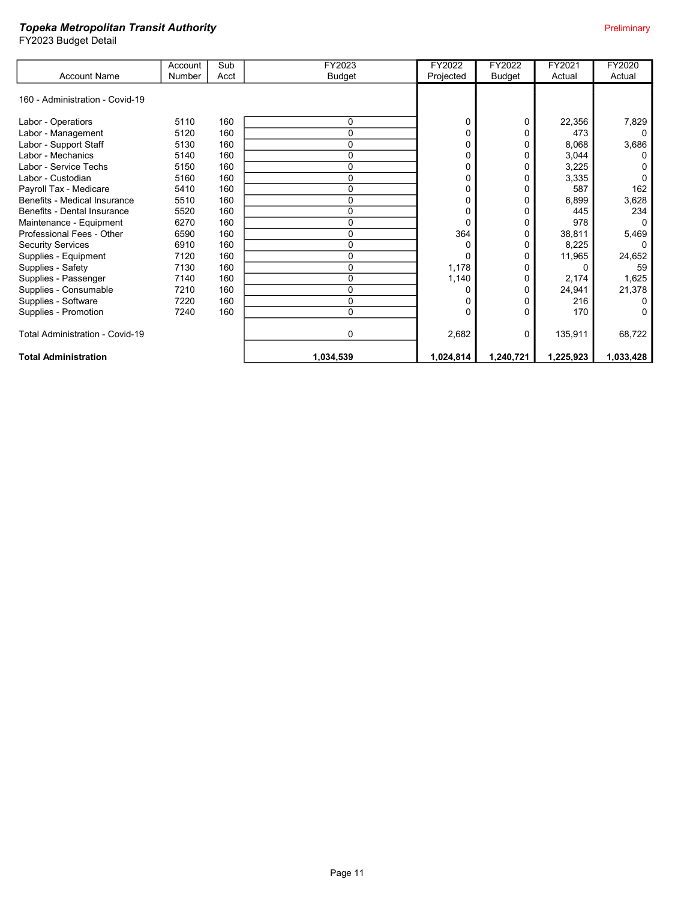|                                        | Account | Sub  | FY2023        | FY2022    | FY2022    | FY2021    | <b>FY2020</b> |
|----------------------------------------|---------|------|---------------|-----------|-----------|-----------|---------------|
| <b>Account Name</b>                    | Number  | Acct | <b>Budget</b> | Projected | Budget    | Actual    | Actual        |
| 160 - Administration - Covid-19        |         |      |               |           |           |           |               |
|                                        |         |      |               |           |           |           |               |
| Labor - Operatiors                     | 5110    | 160  | 0             |           | 0         | 22,356    | 7,829         |
| Labor - Management                     | 5120    | 160  | 0             |           |           | 473       |               |
| Labor - Support Staff                  | 5130    | 160  | 0             |           |           | 8,068     | 3,686         |
| Labor - Mechanics                      | 5140    | 160  | 0             |           |           | 3,044     |               |
| Labor - Service Techs                  | 5150    | 160  | 0             |           |           | 3,225     |               |
| Labor - Custodian                      | 5160    | 160  | 0             |           |           | 3,335     |               |
| Payroll Tax - Medicare                 | 5410    | 160  | 0             |           |           | 587       | 162           |
| Benefits - Medical Insurance           | 5510    | 160  | 0             |           |           | 6,899     | 3,628         |
| Benefits - Dental Insurance            | 5520    | 160  | 0             |           |           | 445       | 234           |
| Maintenance - Equipment                | 6270    | 160  | 0             |           |           | 978       |               |
| Professional Fees - Other              | 6590    | 160  | 0             | 364       |           | 38,811    | 5,469         |
| <b>Security Services</b>               | 6910    | 160  | 0             |           |           | 8,225     |               |
| Supplies - Equipment                   | 7120    | 160  | 0             |           |           | 11,965    | 24,652        |
| Supplies - Safety                      | 7130    | 160  | 0             | 1,178     |           |           | 59            |
| Supplies - Passenger                   | 7140    | 160  | 0             | 1,140     |           | 2,174     | 1,625         |
| Supplies - Consumable                  | 7210    | 160  | 0             |           |           | 24,941    | 21,378        |
| Supplies - Software                    | 7220    | 160  | $\Omega$      |           |           | 216       |               |
| Supplies - Promotion                   | 7240    | 160  | $\Omega$      |           | 0         | 170       |               |
| <b>Total Administration - Covid-19</b> |         |      | 0             | 2,682     | 0         | 135,911   | 68,722        |
|                                        |         |      |               |           |           |           |               |
| <b>Total Administration</b>            |         |      | 1,034,539     | 1,024,814 | 1,240,721 | 1,225,923 | 1,033,428     |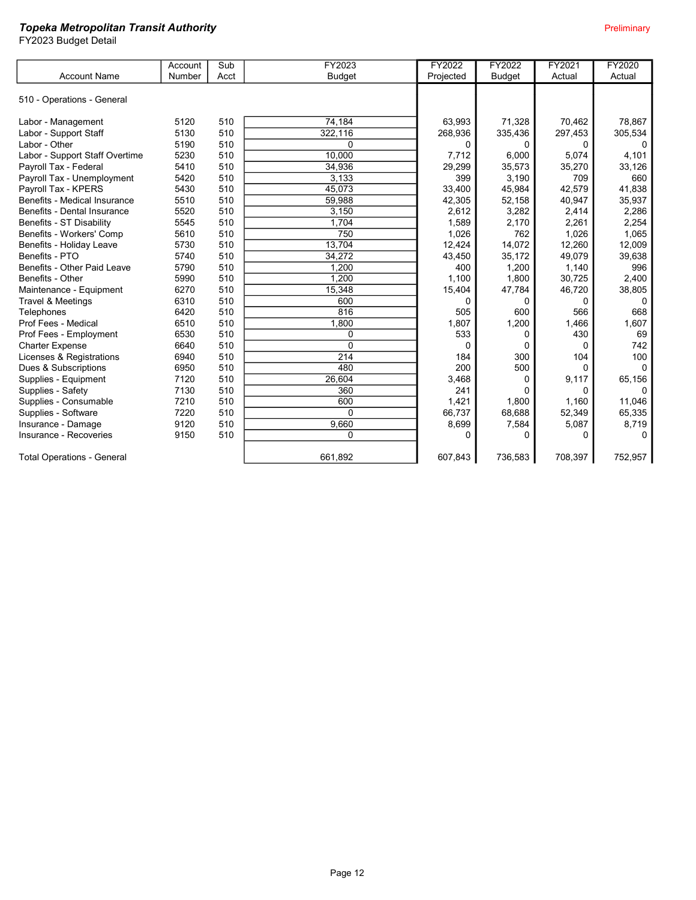|                                   | Account | Sub  | FY2023        | FY2022    | FY2022        | FY2021  | FY2020   |
|-----------------------------------|---------|------|---------------|-----------|---------------|---------|----------|
| <b>Account Name</b>               | Number  | Acct | <b>Budget</b> | Projected | <b>Budget</b> | Actual  | Actual   |
|                                   |         |      |               |           |               |         |          |
| 510 - Operations - General        |         |      |               |           |               |         |          |
|                                   |         |      |               |           |               |         |          |
| Labor - Management                | 5120    | 510  | 74,184        | 63,993    | 71,328        | 70.462  | 78.867   |
| Labor - Support Staff             | 5130    | 510  | 322,116       | 268,936   | 335,436       | 297,453 | 305,534  |
| Labor - Other                     | 5190    | 510  | $\Omega$      | 0         | 0             | 0       |          |
| Labor - Support Staff Overtime    | 5230    | 510  | 10.000        | 7,712     | 6,000         | 5,074   | 4,101    |
| Payroll Tax - Federal             | 5410    | 510  | 34,936        | 29,299    | 35,573        | 35,270  | 33,126   |
| Payroll Tax - Unemployment        | 5420    | 510  | 3,133         | 399       | 3,190         | 709     | 660      |
| Payroll Tax - KPERS               | 5430    | 510  | 45,073        | 33,400    | 45,984        | 42,579  | 41,838   |
| Benefits - Medical Insurance      | 5510    | 510  | 59,988        | 42,305    | 52,158        | 40,947  | 35,937   |
| Benefits - Dental Insurance       | 5520    | 510  | 3,150         | 2,612     | 3,282         | 2,414   | 2,286    |
| Benefits - ST Disability          | 5545    | 510  | 1,704         | 1,589     | 2,170         | 2,261   | 2,254    |
| Benefits - Workers' Comp          | 5610    | 510  | 750           | 1,026     | 762           | 1,026   | 1,065    |
| Benefits - Holiday Leave          | 5730    | 510  | 13,704        | 12,424    | 14,072        | 12,260  | 12,009   |
| Benefits - PTO                    | 5740    | 510  | 34,272        | 43,450    | 35,172        | 49,079  | 39,638   |
| Benefits - Other Paid Leave       | 5790    | 510  | 1,200         | 400       | 1,200         | 1,140   | 996      |
| Benefits - Other                  | 5990    | 510  | 1,200         | 1.100     | 1,800         | 30,725  | 2,400    |
| Maintenance - Equipment           | 6270    | 510  | 15,348        | 15,404    | 47,784        | 46,720  | 38,805   |
| Travel & Meetings                 | 6310    | 510  | 600           | 0         | $\Omega$      | 0       | $\Omega$ |
| Telephones                        | 6420    | 510  | 816           | 505       | 600           | 566     | 668      |
| Prof Fees - Medical               | 6510    | 510  | 1,800         | 1.807     | 1,200         | 1,466   | 1,607    |
| Prof Fees - Employment            | 6530    | 510  | 0             | 533       | 0             | 430     | 69       |
| <b>Charter Expense</b>            | 6640    | 510  | $\Omega$      | $\Omega$  | $\Omega$      | 0       | 742      |
| Licenses & Registrations          | 6940    | 510  | 214           | 184       | 300           | 104     | 100      |
| Dues & Subscriptions              | 6950    | 510  | 480           | 200       | 500           | 0       | $\Omega$ |
| Supplies - Equipment              | 7120    | 510  | 26,604        | 3,468     | $\Omega$      | 9,117   | 65,156   |
| Supplies - Safety                 | 7130    | 510  | 360           | 241       | ŋ             | 0       |          |
| Supplies - Consumable             | 7210    | 510  | 600           | 1,421     | 1.800         | 1.160   | 11.046   |
| Supplies - Software               | 7220    | 510  | $\Omega$      | 66,737    | 68,688        | 52,349  | 65,335   |
| Insurance - Damage                | 9120    | 510  | 9.660         | 8,699     | 7,584         | 5,087   | 8,719    |
| Insurance - Recoveries            | 9150    | 510  | 0             | 0         | 0             | O       | $\Omega$ |
|                                   |         |      |               |           |               |         |          |
| <b>Total Operations - General</b> |         |      | 661,892       | 607,843   | 736,583       | 708,397 | 752,957  |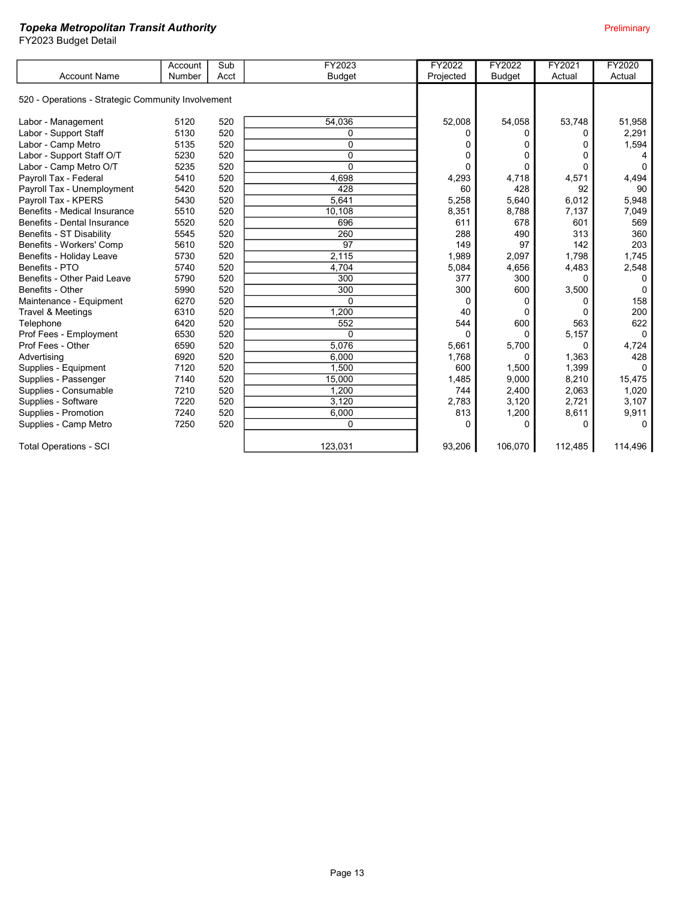|                                                    | Account | Sub  | FY2023        | FY2022    | FY2022        | FY2021   | <b>FY2020</b> |
|----------------------------------------------------|---------|------|---------------|-----------|---------------|----------|---------------|
| <b>Account Name</b>                                | Number  | Acct | <b>Budget</b> | Projected | <b>Budget</b> | Actual   | Actual        |
|                                                    |         |      |               |           |               |          |               |
| 520 - Operations - Strategic Community Involvement |         |      |               |           |               |          |               |
| Labor - Management                                 | 5120    | 520  | 54.036        | 52,008    | 54,058        | 53,748   | 51,958        |
| Labor - Support Staff                              | 5130    | 520  | 0             | 0         | 0             | 0        | 2,291         |
| Labor - Camp Metro                                 | 5135    | 520  | $\Omega$      | 0         | 0             | 0        | 1,594         |
| Labor - Support Staff O/T                          | 5230    | 520  | 0             | 0         | ŋ             | 0        |               |
| Labor - Camp Metro O/T                             | 5235    | 520  | $\Omega$      | 0         | 0             | $\Omega$ |               |
| Payroll Tax - Federal                              | 5410    | 520  | 4,698         | 4,293     | 4,718         | 4,571    | 4,494         |
| Payroll Tax - Unemployment                         | 5420    | 520  | 428           | 60        | 428           | 92       | 90            |
| Payroll Tax - KPERS                                | 5430    | 520  | 5,641         | 5,258     | 5,640         | 6,012    | 5,948         |
| Benefits - Medical Insurance                       | 5510    | 520  | 10,108        | 8,351     | 8,788         | 7,137    | 7,049         |
| Benefits - Dental Insurance                        | 5520    | 520  | 696           | 611       | 678           | 601      | 569           |
| Benefits - ST Disability                           | 5545    | 520  | 260           | 288       | 490           | 313      | 360           |
| Benefits - Workers' Comp                           | 5610    | 520  | 97            | 149       | 97            | 142      | 203           |
| Benefits - Holiday Leave                           | 5730    | 520  | 2,115         | 1,989     | 2,097         | 1.798    | 1.745         |
| Benefits - PTO                                     | 5740    | 520  | 4,704         | 5,084     | 4,656         | 4,483    | 2,548         |
| Benefits - Other Paid Leave                        | 5790    | 520  | 300           | 377       | 300           | 0        |               |
| Benefits - Other                                   | 5990    | 520  | 300           | 300       | 600           | 3,500    |               |
| Maintenance - Equipment                            | 6270    | 520  | 0             | 0         | 0             | 0        | 158           |
| Travel & Meetings                                  | 6310    | 520  | 1,200         | 40        | 0             | 0        | 200           |
| Telephone                                          | 6420    | 520  | 552           | 544       | 600           | 563      | 622           |
| Prof Fees - Employment                             | 6530    | 520  | 0             | $\Omega$  | <sup>0</sup>  | 5,157    | $\Omega$      |
| Prof Fees - Other                                  | 6590    | 520  | 5,076         | 5,661     | 5,700         | 0        | 4,724         |
| Advertising                                        | 6920    | 520  | 6.000         | 1,768     | $\Omega$      | 1,363    | 428           |
| Supplies - Equipment                               | 7120    | 520  | 1.500         | 600       | 1,500         | 1,399    | <sup>0</sup>  |
| Supplies - Passenger                               | 7140    | 520  | 15,000        | 1,485     | 9,000         | 8,210    | 15,475        |
| Supplies - Consumable                              | 7210    | 520  | 1,200         | 744       | 2,400         | 2,063    | 1,020         |
| Supplies - Software                                | 7220    | 520  | 3.120         | 2.783     | 3,120         | 2,721    | 3,107         |
| Supplies - Promotion                               | 7240    | 520  | 6,000         | 813       | 1,200         | 8,611    | 9,911         |
| Supplies - Camp Metro                              | 7250    | 520  | $\Omega$      | O         | O             | $\Omega$ | 0             |
| <b>Total Operations - SCI</b>                      |         |      | 123,031       | 93,206    | 106,070       | 112,485  | 114,496       |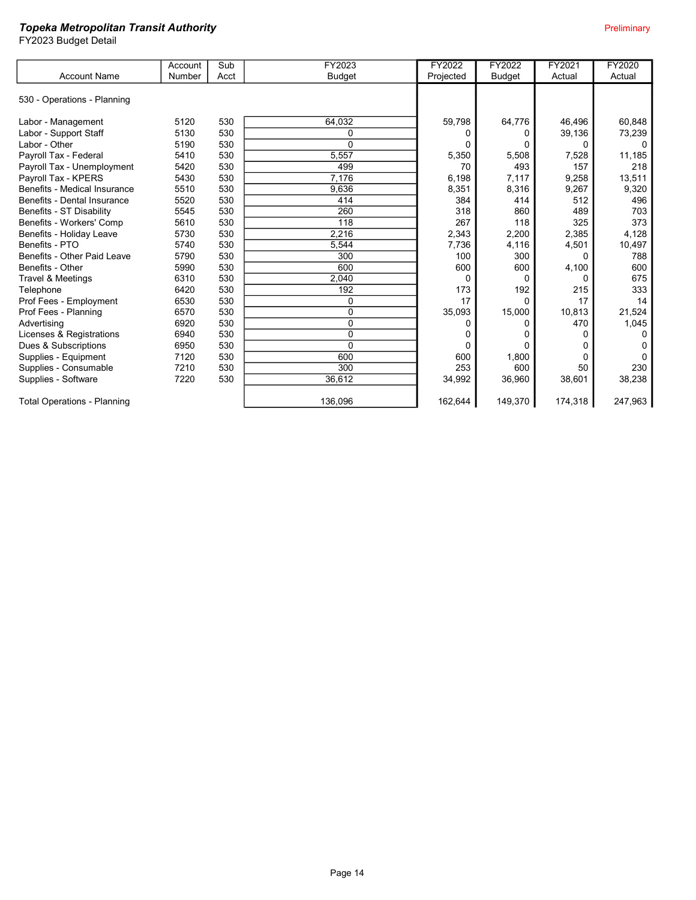|                                    | Account | Sub  | FY2023         | FY2022    | FY2022        | FY2021  | <b>FY2020</b> |
|------------------------------------|---------|------|----------------|-----------|---------------|---------|---------------|
| <b>Account Name</b>                | Number  | Acct | <b>Budget</b>  | Projected | <b>Budget</b> | Actual  | Actual        |
| 530 - Operations - Planning        |         |      |                |           |               |         |               |
| Labor - Management                 | 5120    | 530  | 64,032         | 59,798    | 64,776        | 46.496  | 60.848        |
| Labor - Support Staff              | 5130    | 530  | 0              |           |               | 39,136  | 73,239        |
| Labor - Other                      | 5190    | 530  | 0              |           |               | 0       | n             |
| Payroll Tax - Federal              | 5410    | 530  | 5.557          | 5,350     | 5,508         | 7,528   | 11,185        |
| Payroll Tax - Unemployment         | 5420    | 530  | 499            | 70        | 493           | 157     | 218           |
| Payroll Tax - KPERS                | 5430    | 530  | 7,176          | 6,198     | 7,117         | 9,258   | 13,511        |
| Benefits - Medical Insurance       | 5510    | 530  | 9,636          | 8,351     | 8,316         | 9,267   | 9,320         |
| Benefits - Dental Insurance        | 5520    | 530  | 414            | 384       | 414           | 512     | 496           |
| Benefits - ST Disability           | 5545    | 530  | 260            | 318       | 860           | 489     | 703           |
| Benefits - Workers' Comp           | 5610    | 530  | 118            | 267       | 118           | 325     | 373           |
| Benefits - Holiday Leave           | 5730    | 530  | 2,216          | 2,343     | 2,200         | 2,385   | 4,128         |
| Benefits - PTO                     | 5740    | 530  | 5,544          | 7,736     | 4,116         | 4,501   | 10,497        |
| Benefits - Other Paid Leave        | 5790    | 530  | 300            | 100       | 300           | 0       | 788           |
| Benefits - Other                   | 5990    | 530  | 600            | 600       | 600           | 4,100   | 600           |
| Travel & Meetings                  | 6310    | 530  | 2,040          | 0         | 0             | 0       | 675           |
| Telephone                          | 6420    | 530  | 192            | 173       | 192           | 215     | 333           |
| Prof Fees - Employment             | 6530    | 530  | 0              | 17        | 0             | 17      | 14            |
| Prof Fees - Planning               | 6570    | 530  | 0              | 35,093    | 15,000        | 10,813  | 21,524        |
| Advertising                        | 6920    | 530  | $\overline{0}$ |           |               | 470     | 1,045         |
| Licenses & Registrations           | 6940    | 530  | 0              |           |               |         |               |
| Dues & Subscriptions               | 6950    | 530  | 0              | 0         |               |         |               |
| Supplies - Equipment               | 7120    | 530  | 600            | 600       | 1,800         | 0       |               |
| Supplies - Consumable              | 7210    | 530  | 300            | 253       | 600           | 50      | 230           |
| Supplies - Software                | 7220    | 530  | 36.612         | 34,992    | 36,960        | 38,601  | 38,238        |
| <b>Total Operations - Planning</b> |         |      | 136,096        | 162,644   | 149,370       | 174,318 | 247,963       |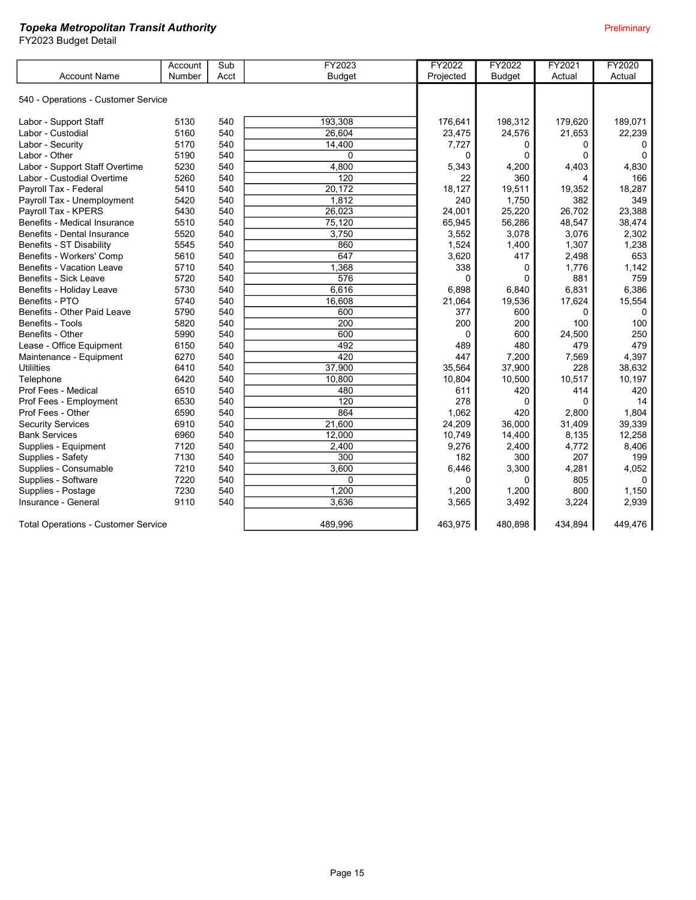|                                            | Account | Sub  | FY2023           | FY2022    | FY2022        | FY2021  | <b>FY2020</b> |
|--------------------------------------------|---------|------|------------------|-----------|---------------|---------|---------------|
| <b>Account Name</b>                        | Number  | Acct | <b>Budget</b>    | Projected | <b>Budget</b> | Actual  | Actual        |
|                                            |         |      |                  |           |               |         |               |
| 540 - Operations - Customer Service        |         |      |                  |           |               |         |               |
|                                            |         |      |                  |           |               |         |               |
| Labor - Support Staff                      | 5130    | 540  | 193.308          | 176,641   | 198,312       | 179,620 | 189,071       |
| Labor - Custodial                          | 5160    | 540  | 26.604           | 23,475    | 24,576        | 21,653  | 22,239        |
| Labor - Security                           | 5170    | 540  | 14,400           | 7,727     | 0             | 0       | 0             |
| Labor - Other                              | 5190    | 540  | 0                | 0         | 0             | 0       | $\Omega$      |
| Labor - Support Staff Overtime             | 5230    | 540  | 4,800            | 5,343     | 4,200         | 4,403   | 4,830         |
| Labor - Custodial Overtime                 | 5260    | 540  | $\overline{120}$ | 22        | 360           | 4       | 166           |
| Payroll Tax - Federal                      | 5410    | 540  | 20,172           | 18,127    | 19,511        | 19,352  | 18,287        |
| Payroll Tax - Unemployment                 | 5420    | 540  | 1,812            | 240       | 1,750         | 382     | 349           |
| Payroll Tax - KPERS                        | 5430    | 540  | 26,023           | 24,001    | 25,220        | 26,702  | 23,388        |
| Benefits - Medical Insurance               | 5510    | 540  | 75,120           | 65,945    | 56,286        | 48,547  | 38,474        |
| Benefits - Dental Insurance                | 5520    | 540  | 3,750            | 3,552     | 3,078         | 3,076   | 2,302         |
| <b>Benefits - ST Disability</b>            | 5545    | 540  | 860              | 1,524     | 1,400         | 1,307   | 1,238         |
| Benefits - Workers' Comp                   | 5610    | 540  | 647              | 3,620     | 417           | 2,498   | 653           |
| <b>Benefits - Vacation Leave</b>           | 5710    | 540  | 1,368            | 338       | 0             | 1,776   | 1,142         |
| <b>Benefits - Sick Leave</b>               | 5720    | 540  | $\overline{576}$ | $\Omega$  | $\Omega$      | 881     | 759           |
| Benefits - Holiday Leave                   | 5730    | 540  | 6,616            | 6,898     | 6,840         | 6,831   | 6,386         |
| Benefits - PTO                             | 5740    | 540  | 16,608           | 21,064    | 19,536        | 17,624  | 15,554        |
| Benefits - Other Paid Leave                | 5790    | 540  | 600              | 377       | 600           | 0       | 0             |
| Benefits - Tools                           | 5820    | 540  | $\frac{200}{ }$  | 200       | 200           | 100     | 100           |
| Benefits - Other                           | 5990    | 540  | 600              | 0         | 600           | 24,500  | 250           |
| Lease - Office Equipment                   | 6150    | 540  | 492              | 489       | 480           | 479     | 479           |
| Maintenance - Equipment                    | 6270    | 540  | 420              | 447       | 7,200         | 7,569   | 4,397         |
| <b>Utililties</b>                          | 6410    | 540  | 37,900           | 35,564    | 37,900        | 228     | 38,632        |
| Telephone                                  | 6420    | 540  | 10,800           | 10,804    | 10,500        | 10,517  | 10,197        |
| Prof Fees - Medical                        | 6510    | 540  | 480              | 611       | 420           | 414     | 420           |
| Prof Fees - Employment                     | 6530    | 540  | 120              | 278       | 0             | 0       | 14            |
| Prof Fees - Other                          | 6590    | 540  | 864              | 1,062     | 420           | 2,800   | 1,804         |
| <b>Security Services</b>                   | 6910    | 540  | 21,600           | 24,209    | 36.000        | 31,409  | 39,339        |
| <b>Bank Services</b>                       | 6960    | 540  | 12,000           | 10,749    | 14,400        | 8,135   | 12,258        |
| Supplies - Equipment                       | 7120    | 540  | 2,400            | 9,276     | 2,400         | 4,772   | 8,406         |
| Supplies - Safety                          | 7130    | 540  | 300              | 182       | 300           | 207     | 199           |
| Supplies - Consumable                      | 7210    | 540  | 3,600            | 6,446     | 3,300         | 4,281   | 4,052         |
| Supplies - Software                        | 7220    | 540  | $\Omega$         | 0         | $\Omega$      | 805     |               |
| Supplies - Postage                         | 7230    | 540  | 1,200            | 1,200     | 1,200         | 800     | 1,150         |
| Insurance - General                        | 9110    | 540  | 3.636            | 3,565     | 3,492         | 3,224   | 2,939         |
| <b>Total Operations - Customer Service</b> |         |      | 489.996          | 463,975   | 480.898       | 434,894 | 449,476       |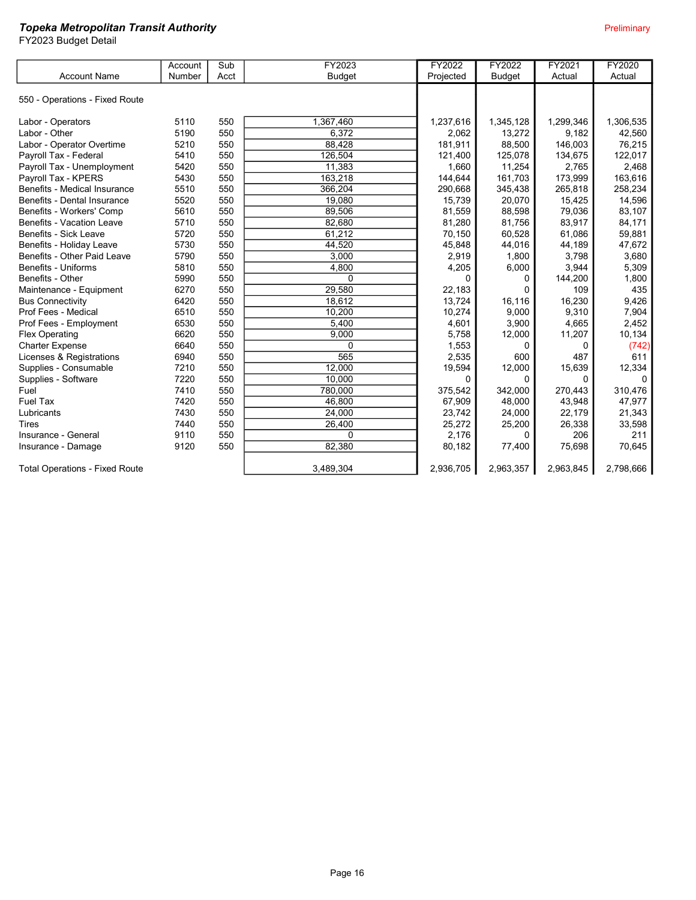|                                       | Account | Sub  | FY2023        | FY2022    | FY2022        | FY2021    | <b>FY2020</b> |
|---------------------------------------|---------|------|---------------|-----------|---------------|-----------|---------------|
| <b>Account Name</b>                   | Number  | Acct | <b>Budget</b> | Projected | <b>Budget</b> | Actual    | Actual        |
|                                       |         |      |               |           |               |           |               |
| 550 - Operations - Fixed Route        |         |      |               |           |               |           |               |
|                                       |         |      |               |           |               |           |               |
| Labor - Operators                     | 5110    | 550  | 1,367,460     | 1,237,616 | 1,345,128     | 1,299,346 | 1,306,535     |
| Labor - Other                         | 5190    | 550  | 6,372         | 2,062     | 13,272        | 9,182     | 42,560        |
| Labor - Operator Overtime             | 5210    | 550  | 88,428        | 181,911   | 88,500        | 146,003   | 76,215        |
| Payroll Tax - Federal                 | 5410    | 550  | 126,504       | 121,400   | 125,078       | 134,675   | 122,017       |
| Payroll Tax - Unemployment            | 5420    | 550  | 11,383        | 1,660     | 11,254        | 2,765     | 2,468         |
| Payroll Tax - KPERS                   | 5430    | 550  | 163,218       | 144,644   | 161,703       | 173,999   | 163,616       |
| Benefits - Medical Insurance          | 5510    | 550  | 366,204       | 290,668   | 345,438       | 265,818   | 258,234       |
| Benefits - Dental Insurance           | 5520    | 550  | 19,080        | 15,739    | 20,070        | 15,425    | 14,596        |
| Benefits - Workers' Comp              | 5610    | 550  | 89,506        | 81,559    | 88,598        | 79,036    | 83,107        |
| <b>Benefits - Vacation Leave</b>      | 5710    | 550  | 82,680        | 81,280    | 81,756        | 83,917    | 84,171        |
| Benefits - Sick Leave                 | 5720    | 550  | 61,212        | 70,150    | 60,528        | 61,086    | 59,881        |
| Benefits - Holiday Leave              | 5730    | 550  | 44,520        | 45,848    | 44,016        | 44,189    | 47,672        |
| Benefits - Other Paid Leave           | 5790    | 550  | 3,000         | 2,919     | 1,800         | 3,798     | 3,680         |
| Benefits - Uniforms                   | 5810    | 550  | 4,800         | 4,205     | 6,000         | 3,944     | 5,309         |
| Benefits - Other                      | 5990    | 550  | $\Omega$      | $\Omega$  | 0             | 144,200   | 1,800         |
| Maintenance - Equipment               | 6270    | 550  | 29,580        | 22,183    | 0             | 109       | 435           |
| <b>Bus Connectivity</b>               | 6420    | 550  | 18.612        | 13.724    | 16.116        | 16,230    | 9,426         |
| Prof Fees - Medical                   | 6510    | 550  | 10.200        | 10,274    | 9,000         | 9,310     | 7,904         |
| Prof Fees - Employment                | 6530    | 550  | 5,400         | 4,601     | 3,900         | 4,665     | 2,452         |
| <b>Flex Operating</b>                 | 6620    | 550  | 9,000         | 5,758     | 12,000        | 11,207    | 10,134        |
| <b>Charter Expense</b>                | 6640    | 550  | $\Omega$      | 1,553     | 0             | 0         | (742)         |
| Licenses & Registrations              | 6940    | 550  | 565           | 2,535     | 600           | 487       | 611           |
| Supplies - Consumable                 | 7210    | 550  | 12,000        | 19,594    | 12,000        | 15,639    | 12,334        |
| Supplies - Software                   | 7220    | 550  | 10,000        | 0         | 0             | $\Omega$  | $\Omega$      |
| Fuel                                  | 7410    | 550  | 780,000       | 375,542   | 342,000       | 270,443   | 310,476       |
| <b>Fuel Tax</b>                       | 7420    | 550  | 46,800        | 67,909    | 48,000        | 43,948    | 47,977        |
| Lubricants                            | 7430    | 550  | 24,000        | 23,742    | 24,000        | 22,179    | 21,343        |
| <b>Tires</b>                          | 7440    | 550  | 26,400        | 25,272    | 25,200        | 26,338    | 33,598        |
| Insurance - General                   | 9110    | 550  | 0             | 2,176     | 0             | 206       | 211           |
| Insurance - Damage                    | 9120    | 550  | 82,380        | 80,182    | 77,400        | 75,698    | 70,645        |
| <b>Total Operations - Fixed Route</b> |         |      | 3.489.304     | 2.936.705 | 2,963,357     | 2,963,845 | 2,798,666     |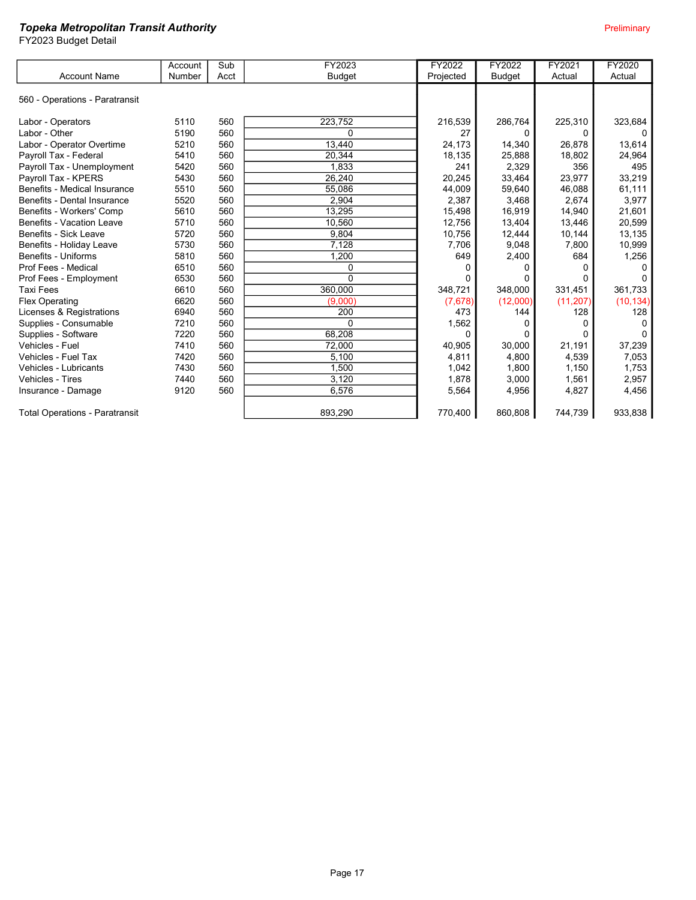|                                       | Account | Sub  | FY2023        | FY2022       | FY2022        | FY2021    | FY2020    |
|---------------------------------------|---------|------|---------------|--------------|---------------|-----------|-----------|
| <b>Account Name</b>                   | Number  | Acct | <b>Budget</b> | Projected    | <b>Budget</b> | Actual    | Actual    |
| 560 - Operations - Paratransit        |         |      |               |              |               |           |           |
| Labor - Operators                     | 5110    | 560  | 223,752       | 216,539      | 286,764       | 225,310   | 323,684   |
| Labor - Other                         | 5190    | 560  | $\Omega$      | 27           |               | O         |           |
| Labor - Operator Overtime             | 5210    | 560  | 13,440        | 24,173       | 14,340        | 26,878    | 13,614    |
| Payroll Tax - Federal                 | 5410    | 560  | 20,344        | 18,135       | 25,888        | 18,802    | 24,964    |
| Payroll Tax - Unemployment            | 5420    | 560  | 1,833         | 241          | 2,329         | 356       | 495       |
| Payroll Tax - KPERS                   | 5430    | 560  | 26,240        | 20,245       | 33,464        | 23,977    | 33,219    |
| Benefits - Medical Insurance          | 5510    | 560  | 55,086        | 44,009       | 59,640        | 46,088    | 61,111    |
| Benefits - Dental Insurance           | 5520    | 560  | 2.904         | 2,387        | 3,468         | 2,674     | 3,977     |
| Benefits - Workers' Comp              | 5610    | 560  | 13,295        | 15,498       | 16,919        | 14,940    | 21,601    |
| Benefits - Vacation Leave             | 5710    | 560  | 10,560        | 12,756       | 13,404        | 13,446    | 20,599    |
| <b>Benefits - Sick Leave</b>          | 5720    | 560  | 9.804         | 10,756       | 12,444        | 10,144    | 13,135    |
| Benefits - Holiday Leave              | 5730    | 560  | 7,128         | 7,706        | 9.048         | 7,800     | 10.999    |
| Benefits - Uniforms                   | 5810    | 560  | 1,200         | 649          | 2,400         | 684       | 1,256     |
| Prof Fees - Medical                   | 6510    | 560  | 0             | <sup>0</sup> |               |           |           |
| Prof Fees - Employment                | 6530    | 560  | $\Omega$      |              |               |           |           |
| <b>Taxi Fees</b>                      | 6610    | 560  | 360,000       | 348,721      | 348,000       | 331,451   | 361,733   |
| Flex Operating                        | 6620    | 560  | (9,000)       | (7,678)      | (12,000)      | (11, 207) | (10, 134) |
| Licenses & Registrations              | 6940    | 560  | 200           | 473          | 144           | 128       | 128       |
| Supplies - Consumable                 | 7210    | 560  | $\Omega$      | 1,562        |               | O         |           |
| Supplies - Software                   | 7220    | 560  | 68,208        | 0            |               | 0         |           |
| Vehicles - Fuel                       | 7410    | 560  | 72,000        | 40,905       | 30.000        | 21.191    | 37,239    |
| Vehicles - Fuel Tax                   | 7420    | 560  | 5,100         | 4,811        | 4,800         | 4,539     | 7,053     |
| Vehicles - Lubricants                 | 7430    | 560  | 1,500         | 1,042        | 1,800         | 1,150     | 1,753     |
| <b>Vehicles - Tires</b>               | 7440    | 560  | 3.120         | 1,878        | 3,000         | 1,561     | 2,957     |
| Insurance - Damage                    | 9120    | 560  | 6,576         | 5,564        | 4,956         | 4,827     | 4,456     |
| <b>Total Operations - Paratransit</b> |         |      | 893,290       | 770,400      | 860,808       | 744,739   | 933,838   |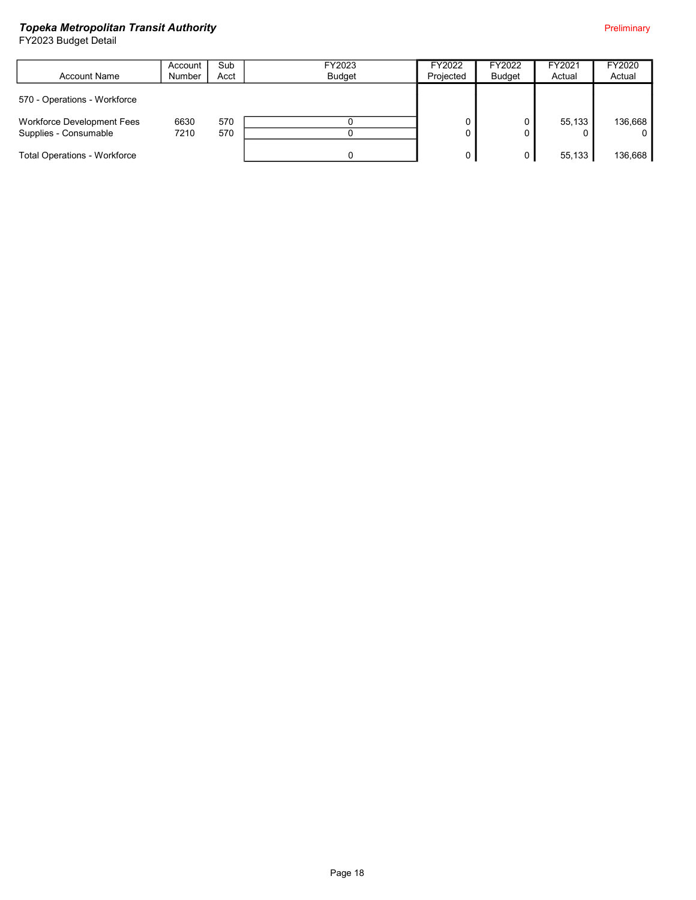|                                     | Account       | Sub  | FY2023        | FY2022    | FY2022 | FY2021 | FY2020  |
|-------------------------------------|---------------|------|---------------|-----------|--------|--------|---------|
| <b>Account Name</b>                 | <b>Number</b> | Acct | <b>Budget</b> | Projected | Budget | Actual | Actual  |
|                                     |               |      |               |           |        |        |         |
| 570 - Operations - Workforce        |               |      |               |           |        |        |         |
|                                     |               |      |               |           |        |        |         |
| Workforce Development Fees          | 6630          | 570  |               |           |        | 55,133 | 136,668 |
| Supplies - Consumable               | 7210          | 570  |               |           |        |        |         |
|                                     |               |      |               |           |        |        |         |
| <b>Total Operations - Workforce</b> |               |      |               |           |        | 55,133 | 136,668 |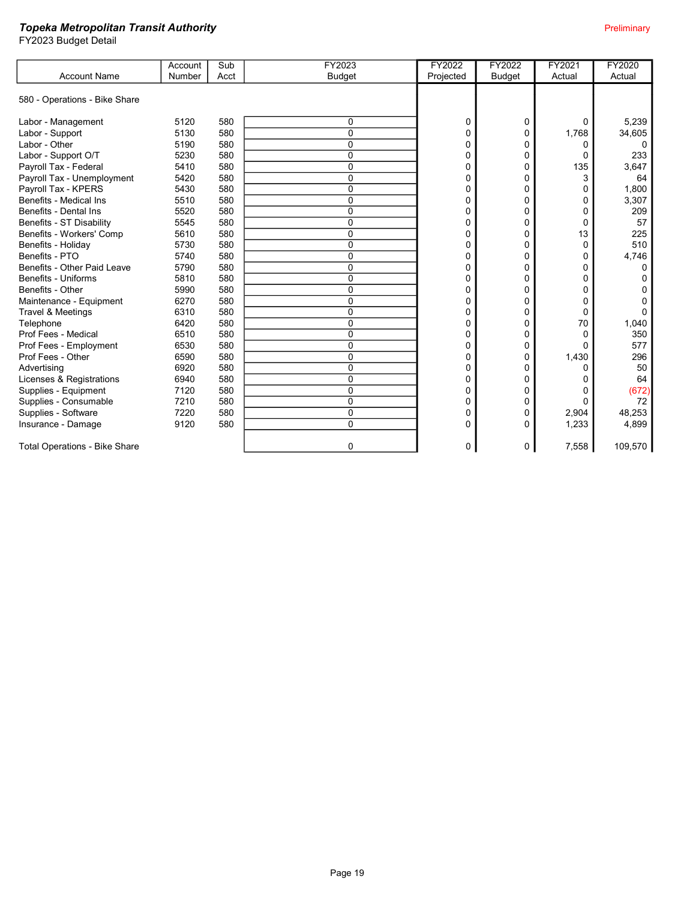|                                      | Account | Sub  | FY2023         | FY2022    | FY2022        | FY2021   | <b>FY2020</b> |
|--------------------------------------|---------|------|----------------|-----------|---------------|----------|---------------|
| <b>Account Name</b>                  | Number  | Acct | <b>Budget</b>  | Projected | <b>Budget</b> | Actual   | Actual        |
|                                      |         |      |                |           |               |          |               |
| 580 - Operations - Bike Share        |         |      |                |           |               |          |               |
| Labor - Management                   | 5120    | 580  | 0              | 0         | 0             | 0        | 5,239         |
| Labor - Support                      | 5130    | 580  | $\overline{0}$ | 0         | 0             | 1,768    | 34,605        |
| Labor - Other                        | 5190    | 580  | 0              | 0         | 0             | 0        | 0             |
| Labor - Support O/T                  | 5230    | 580  | 0              | ŋ         | 0             | 0        | 233           |
| Payroll Tax - Federal                | 5410    | 580  | 0              | 0         | $\Omega$      | 135      | 3,647         |
| Payroll Tax - Unemployment           | 5420    | 580  | $\Omega$       | U         | 0             | 3        | 64            |
| Payroll Tax - KPERS                  | 5430    | 580  | $\Omega$       | 0         | 0             | 0        | 1.800         |
| Benefits - Medical Ins               | 5510    | 580  | $\Omega$       | U         | 0             | 0        | 3,307         |
| Benefits - Dental Ins                | 5520    | 580  | 0              | 0         | 0             | 0        | 209           |
| Benefits - ST Disability             | 5545    | 580  | 0              | 0         | 0             | 0        | 57            |
| Benefits - Workers' Comp             | 5610    | 580  | 0              | 0         | 0             | 13       | 225           |
| Benefits - Holiday                   | 5730    | 580  | 0              | ŋ         | $\Omega$      | $\Omega$ | 510           |
| Benefits - PTO                       | 5740    | 580  | $\Omega$       | ŋ         | 0             | 0        | 4,746         |
| Benefits - Other Paid Leave          | 5790    | 580  | 0              | U         | 0             | 0        |               |
| Benefits - Uniforms                  | 5810    | 580  | $\Omega$       |           | 0             | 0        |               |
| Benefits - Other                     | 5990    | 580  | $\Omega$       | n         | 0             | 0        |               |
| Maintenance - Equipment              | 6270    | 580  | 0              |           | 0             | 0        |               |
| Travel & Meetings                    | 6310    | 580  | 0              | 0         | 0             | 0        |               |
| Telephone                            | 6420    | 580  | $\overline{0}$ | 0         | 0             | 70       | 1,040         |
| Prof Fees - Medical                  | 6510    | 580  | 0              | ŋ         | 0             | 0        | 350           |
| Prof Fees - Employment               | 6530    | 580  | 0              | ŋ         | 0             | 0        | 577           |
| Prof Fees - Other                    | 6590    | 580  | $\Omega$       | U         | 0             | 1,430    | 296           |
| Advertising                          | 6920    | 580  | 0              | U         | 0             | 0        | 50            |
| Licenses & Registrations             | 6940    | 580  | 0              | U         | 0             | 0        | 64            |
| Supplies - Equipment                 | 7120    | 580  | 0              | 0         | 0             | 0        | (672)         |
| Supplies - Consumable                | 7210    | 580  | 0              | 0         | 0             | 0        | 72            |
| Supplies - Software                  | 7220    | 580  | $\overline{0}$ | 0         | 0             | 2,904    | 48,253        |
| Insurance - Damage                   | 9120    | 580  | $\Omega$       | 0         | 0             | 1,233    | 4,899         |
| <b>Total Operations - Bike Share</b> |         |      | 0              | 0         | 0             | 7,558    | 109,570       |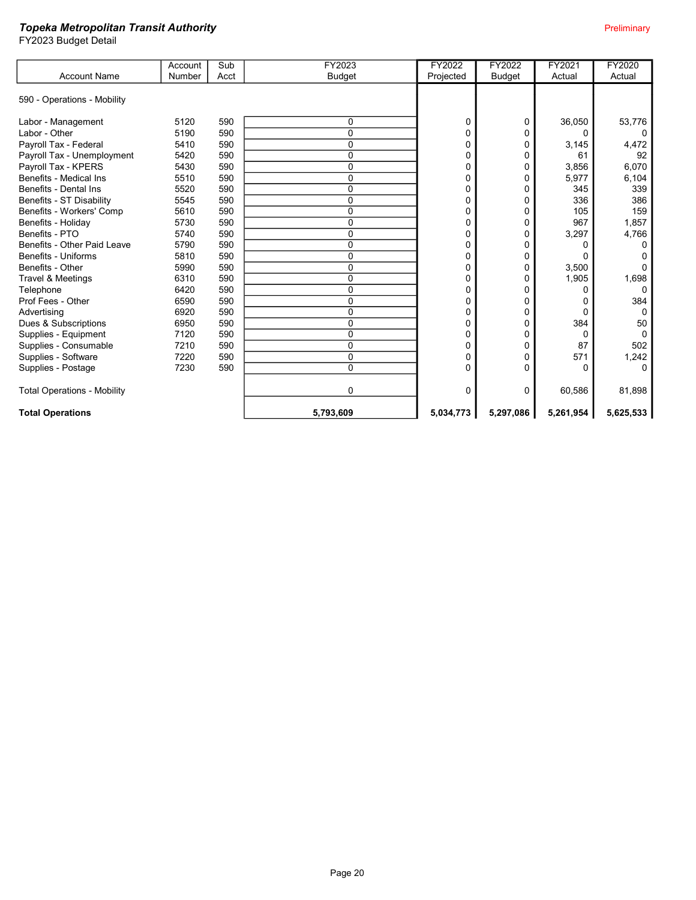|                                    | Account | Sub  | FY2023        | FY2022    | FY2022        | FY2021    | FY2020    |
|------------------------------------|---------|------|---------------|-----------|---------------|-----------|-----------|
| <b>Account Name</b>                | Number  | Acct | <b>Budget</b> | Projected | <b>Budget</b> | Actual    | Actual    |
| 590 - Operations - Mobility        |         |      |               |           |               |           |           |
| Labor - Management                 | 5120    | 590  | 0             | $\Omega$  | 0             | 36,050    | 53,776    |
| Labor - Other                      | 5190    | 590  | 0             |           | 0             | 0         |           |
| Payroll Tax - Federal              | 5410    | 590  | $\Omega$      |           | 0             | 3,145     | 4,472     |
| Payroll Tax - Unemployment         | 5420    | 590  | 0             | 0         | 0             | 61        | 92        |
| Payroll Tax - KPERS                | 5430    | 590  | 0             |           | 0             | 3,856     | 6,070     |
| Benefits - Medical Ins             | 5510    | 590  | $\Omega$      |           |               | 5,977     | 6,104     |
| Benefits - Dental Ins              | 5520    | 590  | 0             |           | 0             | 345       | 339       |
| Benefits - ST Disability           | 5545    | 590  | 0             |           | 0             | 336       | 386       |
| Benefits - Workers' Comp           | 5610    | 590  | 0             |           | 0             | 105       | 159       |
| Benefits - Holiday                 | 5730    | 590  | 0             | 0         | 0             | 967       | 1,857     |
| Benefits - PTO                     | 5740    | 590  | 0             | 0         | 0             | 3,297     | 4,766     |
| Benefits - Other Paid Leave        | 5790    | 590  | 0             |           | 0             | 0         |           |
| Benefits - Uniforms                | 5810    | 590  | 0             |           | 0             | 0         |           |
| Benefits - Other                   | 5990    | 590  | 0             | 0         | 0             | 3,500     |           |
| Travel & Meetings                  | 6310    | 590  | 0             | 0         | 0             | 1,905     | 1,698     |
| Telephone                          | 6420    | 590  | $\Omega$      |           | 0             | 0         | 0         |
| Prof Fees - Other                  | 6590    | 590  | 0             | 0         | 0             | 0         | 384       |
| Advertising                        | 6920    | 590  | 0             |           | 0             | 0         | $\Omega$  |
| Dues & Subscriptions               | 6950    | 590  | 0             |           | 0             | 384       | 50        |
| Supplies - Equipment               | 7120    | 590  | 0             |           | 0             | 0         | $\Omega$  |
| Supplies - Consumable              | 7210    | 590  | 0             | 0         | 0             | 87        | 502       |
| Supplies - Software                | 7220    | 590  | $\Omega$      | 0         | 0             | 571       | 1,242     |
| Supplies - Postage                 | 7230    | 590  | 0             | 0         | 0             | 0         | 0         |
| <b>Total Operations - Mobility</b> |         |      | 0             | 0         | 0             | 60,586    | 81,898    |
| <b>Total Operations</b>            |         |      | 5,793,609     | 5,034,773 | 5,297,086     | 5,261,954 | 5,625,533 |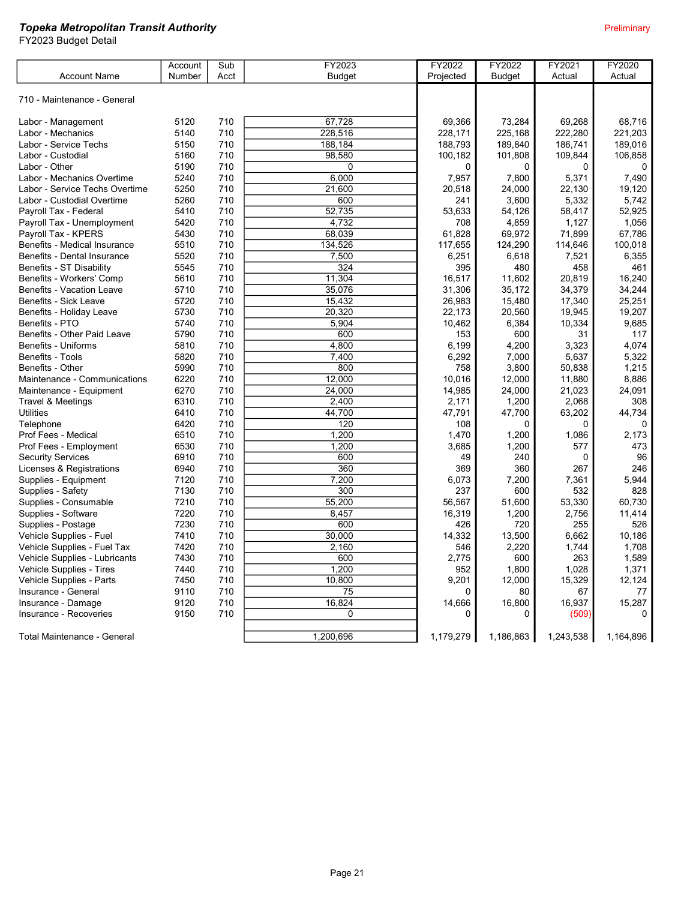|                                | Account | Sub  | FY2023              | FY2022    | FY2022        | FY2021    | FY2020    |
|--------------------------------|---------|------|---------------------|-----------|---------------|-----------|-----------|
| <b>Account Name</b>            | Number  | Acct | <b>Budget</b>       | Projected | <b>Budget</b> | Actual    | Actual    |
|                                |         |      |                     |           |               |           |           |
| 710 - Maintenance - General    |         |      |                     |           |               |           |           |
| Labor - Management             | 5120    | 710  | 67,728              | 69,366    | 73,284        | 69,268    | 68,716    |
| Labor - Mechanics              | 5140    | 710  | 228,516             | 228,171   | 225,168       | 222,280   | 221,203   |
| Labor - Service Techs          | 5150    | 710  | 188,184             | 188,793   | 189,840       | 186,741   | 189,016   |
| Labor - Custodial              | 5160    | 710  | 98,580              | 100,182   | 101,808       | 109,844   | 106,858   |
| Labor - Other                  | 5190    | 710  | $\mathbf 0$         | 0         | 0             | 0         | 0         |
| Labor - Mechanics Overtime     | 5240    | 710  | 6,000               | 7,957     | 7,800         | 5,371     | 7,490     |
| Labor - Service Techs Overtime | 5250    | 710  | 21,600              | 20,518    | 24,000        | 22,130    | 19.120    |
| Labor - Custodial Overtime     | 5260    | 710  | 600                 | 241       | 3,600         | 5,332     | 5,742     |
| Payroll Tax - Federal          | 5410    | 710  | $\overline{52,735}$ | 53,633    | 54,126        | 58,417    | 52,925    |
| Payroll Tax - Unemployment     | 5420    | 710  | 4,732               | 708       | 4,859         | 1,127     | 1,056     |
| Payroll Tax - KPERS            | 5430    | 710  | 68,039              | 61,828    | 69,972        | 71,899    | 67,786    |
| Benefits - Medical Insurance   | 5510    | 710  | 134,526             | 117,655   | 124,290       | 114,646   | 100,018   |
| Benefits - Dental Insurance    | 5520    | 710  | 7,500               | 6,251     | 6,618         | 7,521     | 6,355     |
| Benefits - ST Disability       | 5545    | 710  | 324                 | 395       | 480           | 458       | 461       |
| Benefits - Workers' Comp       | 5610    | 710  | 11,304              | 16,517    | 11,602        | 20,819    | 16,240    |
| Benefits - Vacation Leave      | 5710    | 710  | 35,076              | 31,306    | 35,172        | 34,379    | 34,244    |
| Benefits - Sick Leave          | 5720    | 710  | 15,432              | 26,983    | 15,480        | 17,340    | 25,251    |
| Benefits - Holiday Leave       | 5730    | 710  | 20,320              | 22,173    | 20,560        | 19,945    | 19,207    |
| Benefits - PTO                 | 5740    | 710  | 5,904               | 10,462    | 6,384         | 10,334    | 9,685     |
| Benefits - Other Paid Leave    | 5790    | 710  | 600                 | 153       | 600           | 31        | 117       |
| Benefits - Uniforms            | 5810    | 710  | 4,800               | 6,199     | 4,200         | 3,323     | 4,074     |
| Benefits - Tools               | 5820    | 710  | 7,400               | 6,292     | 7,000         | 5,637     | 5,322     |
| Benefits - Other               | 5990    | 710  | 800                 | 758       | 3,800         | 50,838    | 1,215     |
| Maintenance - Communications   | 6220    | 710  | 12,000              | 10.016    | 12,000        | 11,880    | 8,886     |
| Maintenance - Equipment        | 6270    | 710  | 24,000              | 14,985    | 24,000        | 21,023    | 24,091    |
| Travel & Meetings              | 6310    | 710  | 2,400               | 2,171     | 1,200         | 2,068     | 308       |
| <b>Utilities</b>               | 6410    | 710  | 44,700              | 47,791    | 47,700        | 63,202    | 44,734    |
| Telephone                      | 6420    | 710  | 120                 | 108       | 0             | $\Omega$  | $\Omega$  |
| Prof Fees - Medical            | 6510    | 710  | 1,200               | 1,470     | 1,200         | 1,086     | 2,173     |
| Prof Fees - Employment         | 6530    | 710  | 1,200               | 3,685     | 1,200         | 577       | 473       |
| <b>Security Services</b>       | 6910    | 710  | 600                 | 49        | 240           | 0         | 96        |
| Licenses & Registrations       | 6940    | 710  | 360                 | 369       | 360           | 267       | 246       |
| Supplies - Equipment           | 7120    | 710  | 7,200               | 6,073     | 7,200         | 7,361     | 5,944     |
| Supplies - Safety              | 7130    | 710  | 300                 | 237       | 600           | 532       | 828       |
| Supplies - Consumable          | 7210    | 710  | 55,200              | 56,567    | 51,600        | 53,330    | 60,730    |
| Supplies - Software            | 7220    | 710  | 8,457               | 16,319    | 1,200         | 2,756     | 11,414    |
| Supplies - Postage             | 7230    | 710  | 600                 | 426       | 720           | 255       | 526       |
| Vehicle Supplies - Fuel        | 7410    | 710  | 30,000              | 14,332    | 13,500        | 6,662     | 10,186    |
| Vehicle Supplies - Fuel Tax    | 7420    | 710  | 2,160               | 546       | 2,220         | 1,744     | 1,708     |
| Vehicle Supplies - Lubricants  | 7430    | 710  | 600                 | 2,775     | 600           | 263       | 1,589     |
| Vehicle Supplies - Tires       | 7440    | 710  | 1,200               | 952       | 1,800         | 1,028     | 1,371     |
| Vehicle Supplies - Parts       | 7450    | 710  | 10,800              | 9,201     | 12,000        | 15,329    | 12,124    |
| Insurance - General            | 9110    | 710  | 75                  | 0         | 80            | 67        | 77        |
| Insurance - Damage             | 9120    | 710  | 16,824              | 14,666    | 16,800        | 16,937    | 15,287    |
| Insurance - Recoveries         | 9150    | 710  | $\mathbf{0}$        | 0         | $\Omega$      | (509)     | $\Omega$  |
|                                |         |      |                     |           |               |           |           |
| Total Maintenance - General    |         |      | 1,200,696           | 1,179,279 | 1,186,863     | 1,243,538 | 1,164,896 |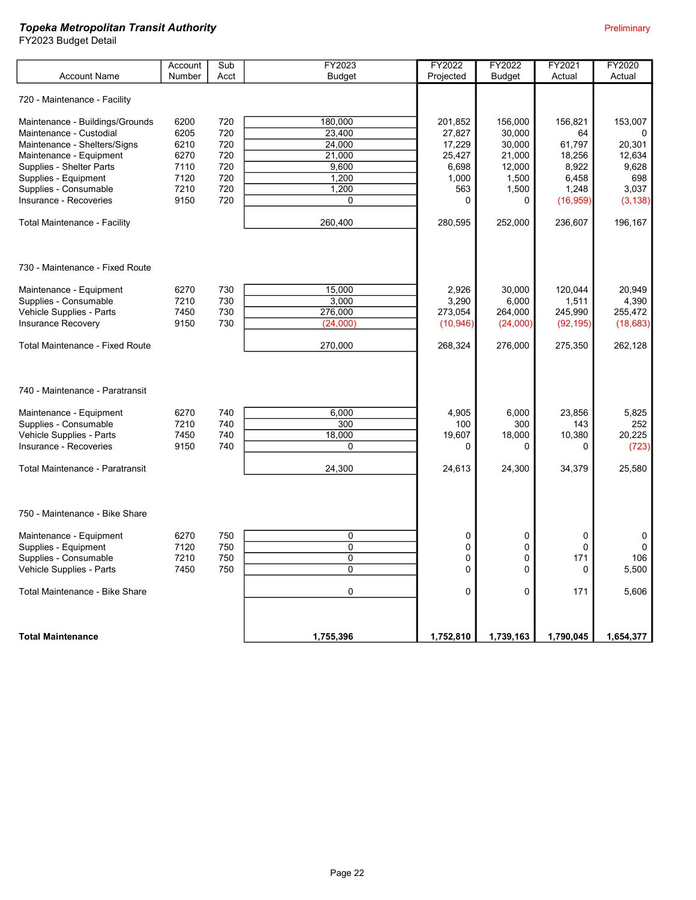|                                        | Account | Sub  | FY2023         | FY2022    | FY2022        | FY2021      | FY2020    |
|----------------------------------------|---------|------|----------------|-----------|---------------|-------------|-----------|
| <b>Account Name</b>                    | Number  | Acct | <b>Budget</b>  | Projected | <b>Budget</b> | Actual      | Actual    |
| 720 - Maintenance - Facility           |         |      |                |           |               |             |           |
| Maintenance - Buildings/Grounds        | 6200    | 720  | 180,000        | 201,852   | 156,000       | 156,821     | 153,007   |
| Maintenance - Custodial                | 6205    | 720  | 23,400         | 27,827    | 30,000        | 64          |           |
| Maintenance - Shelters/Signs           | 6210    | 720  | 24,000         | 17,229    | 30,000        | 61.797      | 20,301    |
| Maintenance - Equipment                | 6270    | 720  | 21.000         | 25,427    | 21,000        | 18,256      | 12,634    |
| Supplies - Shelter Parts               | 7110    | 720  | 9,600          | 6,698     | 12,000        | 8,922       | 9,628     |
| Supplies - Equipment                   | 7120    | 720  | 1,200          | 1,000     | 1,500         | 6,458       | 698       |
| Supplies - Consumable                  | 7210    | 720  | 1,200          | 563       | 1,500         | 1,248       | 3.037     |
| Insurance - Recoveries                 | 9150    | 720  | 0              | 0         | 0             | (16, 959)   | (3, 138)  |
| Total Maintenance - Facility           |         |      | 260,400        | 280,595   | 252,000       | 236,607     | 196,167   |
|                                        |         |      |                |           |               |             |           |
| 730 - Maintenance - Fixed Route        |         |      |                |           |               |             |           |
| Maintenance - Equipment                | 6270    | 730  | 15,000         | 2,926     | 30,000        | 120,044     | 20,949    |
| Supplies - Consumable                  | 7210    | 730  | 3,000          | 3,290     | 6,000         | 1,511       | 4,390     |
| Vehicle Supplies - Parts               | 7450    | 730  | 276,000        | 273,054   | 264,000       | 245,990     | 255,472   |
| <b>Insurance Recovery</b>              | 9150    | 730  | (24,000)       | (10, 946) | (24,000)      | (92, 195)   | (18, 683) |
|                                        |         |      |                |           |               |             |           |
| <b>Total Maintenance - Fixed Route</b> |         |      | 270,000        | 268,324   | 276,000       | 275,350     | 262,128   |
|                                        |         |      |                |           |               |             |           |
| 740 - Maintenance - Paratransit        |         |      |                |           |               |             |           |
| Maintenance - Equipment                | 6270    | 740  | 6,000          | 4,905     | 6,000         | 23,856      | 5,825     |
| Supplies - Consumable                  | 7210    | 740  | 300            | 100       | 300           | 143         | 252       |
| Vehicle Supplies - Parts               | 7450    | 740  | 18,000         | 19,607    | 18,000        | 10,380      | 20.225    |
| Insurance - Recoveries                 | 9150    | 740  | 0              | 0         | 0             | 0           | (723)     |
|                                        |         |      |                |           |               |             |           |
| <b>Total Maintenance - Paratransit</b> |         |      | 24,300         | 24,613    | 24,300        | 34,379      | 25,580    |
|                                        |         |      |                |           |               |             |           |
| 750 - Maintenance - Bike Share         |         |      |                |           |               |             |           |
| Maintenance - Equipment                | 6270    | 750  | 0              | 0         | 0             | 0           | 0         |
| Supplies - Equipment                   | 7120    | 750  | $\overline{0}$ | 0         | $\mathbf 0$   | $\mathbf 0$ | $\Omega$  |
| Supplies - Consumable                  | 7210    | 750  | 0              | 0         | 0             | 171         | 106       |
| Vehicle Supplies - Parts               | 7450    | 750  | $\overline{0}$ | $\Omega$  | $\mathbf{0}$  | $\Omega$    | 5,500     |
|                                        |         |      |                |           |               |             |           |
| Total Maintenance - Bike Share         |         |      | 0              | 0         | 0             | 171         | 5,606     |
|                                        |         |      |                |           |               |             |           |
| <b>Total Maintenance</b>               |         |      | 1,755,396      | 1,752,810 | 1,739,163     | 1,790,045   | 1,654,377 |